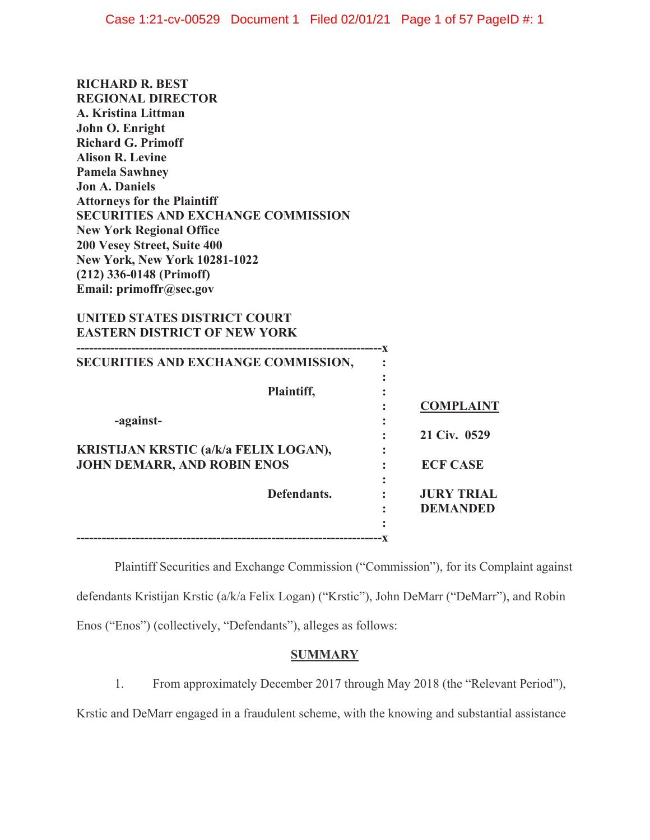| <b>RICHARD R. BEST</b>                    |
|-------------------------------------------|
| <b>REGIONAL DIRECTOR</b>                  |
| A. Kristina Littman                       |
| John O. Enright                           |
| <b>Richard G. Primoff</b>                 |
| <b>Alison R. Levine</b>                   |
| <b>Pamela Sawhney</b>                     |
| <b>Jon A. Daniels</b>                     |
| <b>Attorneys for the Plaintiff</b>        |
| <b>SECURITIES AND EXCHANGE COMMISSION</b> |
| <b>New York Regional Office</b>           |
| <b>200 Vesey Street, Suite 400</b>        |
| <b>New York, New York 10281-1022</b>      |
| $(212)$ 336-0148 (Primoff)                |
| Email: primoffr@sec.gov                   |

# **UNITED STATES DISTRICT COURT EASTERN DISTRICT OF NEW YORK**

| SECURITIES AND EXCHANGE COMMISSION,                                         |                   |
|-----------------------------------------------------------------------------|-------------------|
| Plaintiff,                                                                  | <b>COMPLAINT</b>  |
| -against-                                                                   | 21 Civ. 0529      |
| KRISTIJAN KRSTIC (a/k/a FELIX LOGAN),<br><b>JOHN DEMARR, AND ROBIN ENOS</b> | <b>ECF CASE</b>   |
| Defendants.                                                                 | <b>JURY TRIAL</b> |
|                                                                             | <b>DEMANDED</b>   |
|                                                                             |                   |

Plaintiff Securities and Exchange Commission ("Commission"), for its Complaint against defendants Kristijan Krstic (a/k/a Felix Logan) ("Krstic"), John DeMarr ("DeMarr"), and Robin Enos ("Enos") (collectively, "Defendants"), alleges as follows:

# **SUMMARY**

1. From approximately December 2017 through May 2018 (the "Relevant Period"),

Krstic and DeMarr engaged in a fraudulent scheme, with the knowing and substantial assistance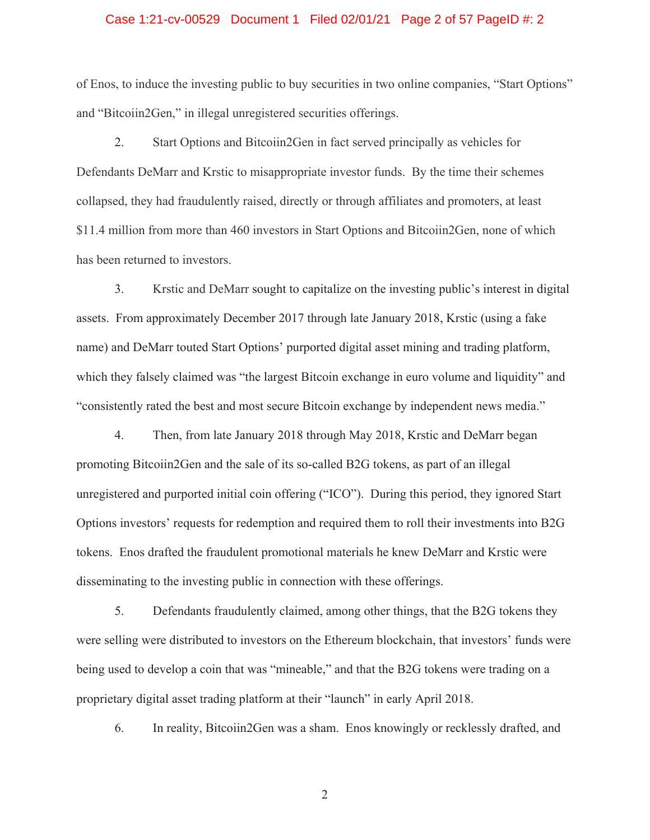### Case 1:21-cv-00529 Document 1 Filed 02/01/21 Page 2 of 57 PageID #: 2

of Enos, to induce the investing public to buy securities in two online companies, "Start Options" and "Bitcoiin2Gen," in illegal unregistered securities offerings.

2. Start Options and Bitcoiin2Gen in fact served principally as vehicles for Defendants DeMarr and Krstic to misappropriate investor funds. By the time their schemes collapsed, they had fraudulently raised, directly or through affiliates and promoters, at least \$11.4 million from more than 460 investors in Start Options and Bitcoiin2Gen, none of which has been returned to investors.

3. Krstic and DeMarr sought to capitalize on the investing public's interest in digital assets. From approximately December 2017 through late January 2018, Krstic (using a fake name) and DeMarr touted Start Options' purported digital asset mining and trading platform, which they falsely claimed was "the largest Bitcoin exchange in euro volume and liquidity" and "consistently rated the best and most secure Bitcoin exchange by independent news media."

4. Then, from late January 2018 through May 2018, Krstic and DeMarr began promoting Bitcoiin2Gen and the sale of its so-called B2G tokens, as part of an illegal unregistered and purported initial coin offering ("ICO"). During this period, they ignored Start Options investors' requests for redemption and required them to roll their investments into B2G tokens. Enos drafted the fraudulent promotional materials he knew DeMarr and Krstic were disseminating to the investing public in connection with these offerings.

5. Defendants fraudulently claimed, among other things, that the B2G tokens they were selling were distributed to investors on the Ethereum blockchain, that investors' funds were being used to develop a coin that was "mineable," and that the B2G tokens were trading on a proprietary digital asset trading platform at their "launch" in early April 2018.

6. In reality, Bitcoiin2Gen was a sham. Enos knowingly or recklessly drafted, and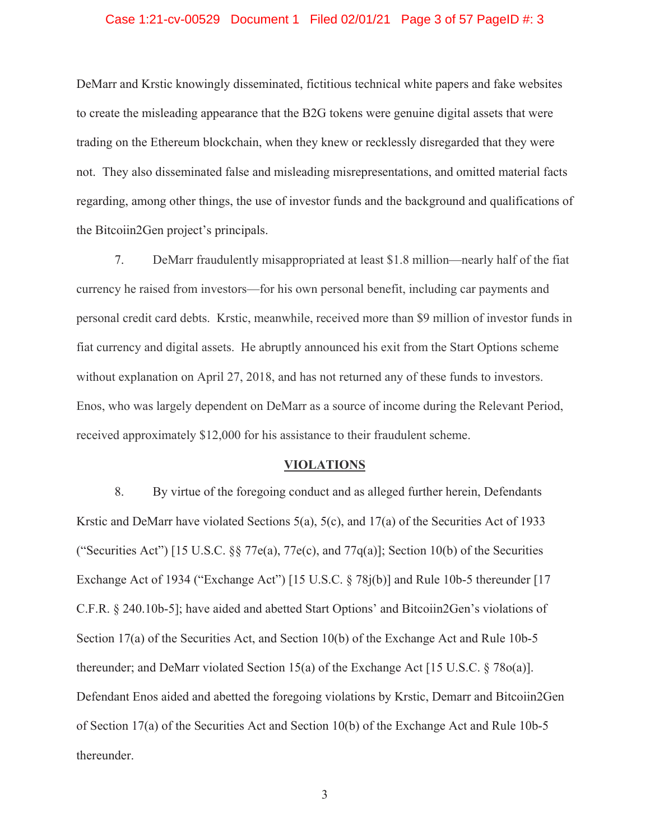### Case 1:21-cv-00529 Document 1 Filed 02/01/21 Page 3 of 57 PageID #: 3

DeMarr and Krstic knowingly disseminated, fictitious technical white papers and fake websites to create the misleading appearance that the B2G tokens were genuine digital assets that were trading on the Ethereum blockchain, when they knew or recklessly disregarded that they were not. They also disseminated false and misleading misrepresentations, and omitted material facts regarding, among other things, the use of investor funds and the background and qualifications of the Bitcoiin2Gen project's principals.

7. DeMarr fraudulently misappropriated at least \$1.8 million—nearly half of the fiat currency he raised from investors—for his own personal benefit, including car payments and personal credit card debts. Krstic, meanwhile, received more than \$9 million of investor funds in fiat currency and digital assets. He abruptly announced his exit from the Start Options scheme without explanation on April 27, 2018, and has not returned any of these funds to investors. Enos, who was largely dependent on DeMarr as a source of income during the Relevant Period, received approximately \$12,000 for his assistance to their fraudulent scheme.

### **VIOLATIONS**

8. By virtue of the foregoing conduct and as alleged further herein, Defendants Krstic and DeMarr have violated Sections 5(a), 5(c), and 17(a) of the Securities Act of 1933 ("Securities Act") [15 U.S.C. §§ 77e(a), 77e(c), and 77 $q(a)$ ]; Section 10(b) of the Securities Exchange Act of 1934 ("Exchange Act") [15 U.S.C. § 78j(b)] and Rule 10b-5 thereunder [17 C.F.R. § 240.10b-5]; have aided and abetted Start Options' and Bitcoiin2Gen's violations of Section 17(a) of the Securities Act, and Section 10(b) of the Exchange Act and Rule 10b-5 thereunder; and DeMarr violated Section 15(a) of the Exchange Act [15 U.S.C. § 78o(a)]. Defendant Enos aided and abetted the foregoing violations by Krstic, Demarr and Bitcoiin2Gen of Section 17(a) of the Securities Act and Section 10(b) of the Exchange Act and Rule 10b-5 thereunder.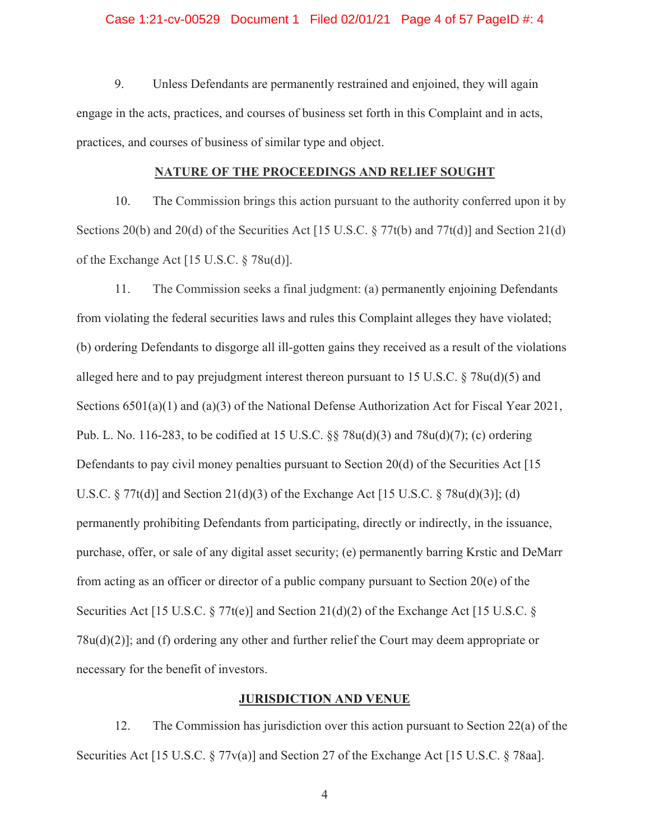### Case 1:21-cv-00529 Document 1 Filed 02/01/21 Page 4 of 57 PageID #: 4

9. Unless Defendants are permanently restrained and enjoined, they will again engage in the acts, practices, and courses of business set forth in this Complaint and in acts, practices, and courses of business of similar type and object.

### **NATURE OF THE PROCEEDINGS AND RELIEF SOUGHT**

10. The Commission brings this action pursuant to the authority conferred upon it by Sections 20(b) and 20(d) of the Securities Act [15 U.S.C.  $\S 77t(b)$  and  $77t(d)$ ] and Section 21(d) of the Exchange Act [15 U.S.C. § 78u(d)].

11. The Commission seeks a final judgment: (a) permanently enjoining Defendants from violating the federal securities laws and rules this Complaint alleges they have violated; (b) ordering Defendants to disgorge all ill-gotten gains they received as a result of the violations alleged here and to pay prejudgment interest thereon pursuant to 15 U.S.C.  $\S 78u(d)(5)$  and Sections 6501(a)(1) and (a)(3) of the National Defense Authorization Act for Fiscal Year 2021, Pub. L. No. 116-283, to be codified at 15 U.S.C. §§ 78u(d)(3) and 78u(d)(7); (c) ordering Defendants to pay civil money penalties pursuant to Section 20(d) of the Securities Act [15 U.S.C.  $\S 77t(d)$ ] and Section 21(d)(3) of the Exchange Act [15 U.S.C.  $\S 78u(d)(3)$ ]; (d) permanently prohibiting Defendants from participating, directly or indirectly, in the issuance, purchase, offer, or sale of any digital asset security; (e) permanently barring Krstic and DeMarr from acting as an officer or director of a public company pursuant to Section 20(e) of the Securities Act [15 U.S.C. § 77t(e)] and Section 21(d)(2) of the Exchange Act [15 U.S.C. § 78u(d)(2)]; and (f) ordering any other and further relief the Court may deem appropriate or necessary for the benefit of investors.

### **JURISDICTION AND VENUE**

12. The Commission has jurisdiction over this action pursuant to Section 22(a) of the Securities Act [15 U.S.C. § 77v(a)] and Section 27 of the Exchange Act [15 U.S.C. § 78aa].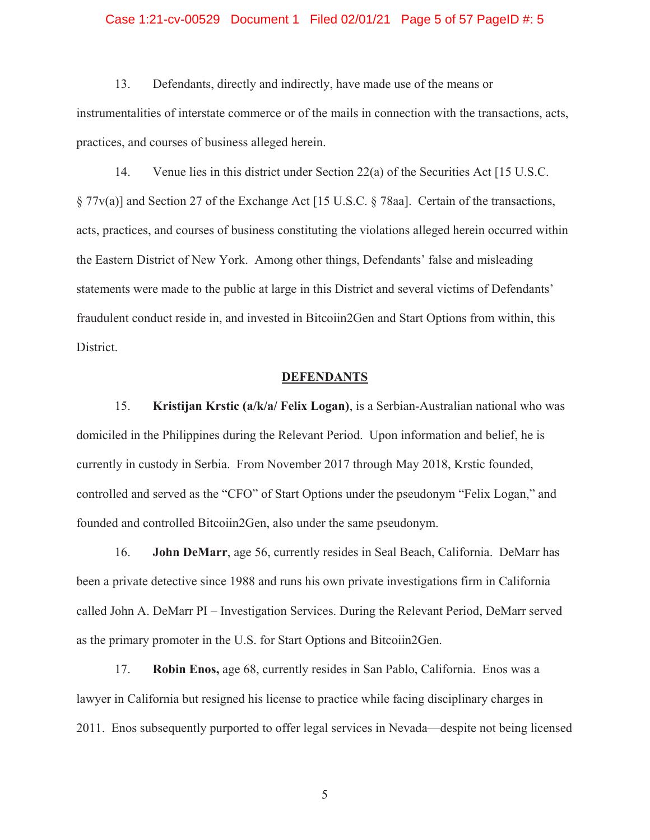### Case 1:21-cv-00529 Document 1 Filed 02/01/21 Page 5 of 57 PageID #: 5

13. Defendants, directly and indirectly, have made use of the means or instrumentalities of interstate commerce or of the mails in connection with the transactions, acts, practices, and courses of business alleged herein.

14. Venue lies in this district under Section 22(a) of the Securities Act [15 U.S.C. § 77v(a)] and Section 27 of the Exchange Act [15 U.S.C. § 78aa]. Certain of the transactions, acts, practices, and courses of business constituting the violations alleged herein occurred within the Eastern District of New York. Among other things, Defendants' false and misleading statements were made to the public at large in this District and several victims of Defendants' fraudulent conduct reside in, and invested in Bitcoiin2Gen and Start Options from within, this District.

### **DEFENDANTS**

15. **Kristijan Krstic (a/k/a/ Felix Logan)**, is a Serbian-Australian national who was domiciled in the Philippines during the Relevant Period. Upon information and belief, he is currently in custody in Serbia. From November 2017 through May 2018, Krstic founded, controlled and served as the "CFO" of Start Options under the pseudonym "Felix Logan," and founded and controlled Bitcoiin2Gen, also under the same pseudonym.

16. **John DeMarr**, age 56, currently resides in Seal Beach, California. DeMarr has been a private detective since 1988 and runs his own private investigations firm in California called John A. DeMarr PI – Investigation Services. During the Relevant Period, DeMarr served as the primary promoter in the U.S. for Start Options and Bitcoiin2Gen.

17. **Robin Enos,** age 68, currently resides in San Pablo, California. Enos was a lawyer in California but resigned his license to practice while facing disciplinary charges in 2011. Enos subsequently purported to offer legal services in Nevada—despite not being licensed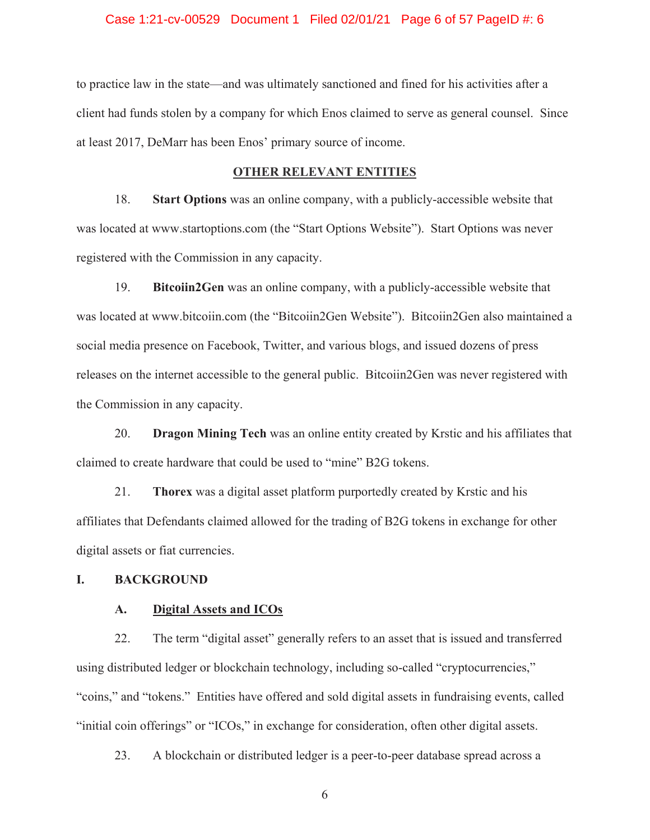### Case 1:21-cv-00529 Document 1 Filed 02/01/21 Page 6 of 57 PageID #: 6

to practice law in the state—and was ultimately sanctioned and fined for his activities after a client had funds stolen by a company for which Enos claimed to serve as general counsel. Since at least 2017, DeMarr has been Enos' primary source of income.

### **OTHER RELEVANT ENTITIES**

18. **Start Options** was an online company, with a publicly-accessible website that was located at www.startoptions.com (the "Start Options Website"). Start Options was never registered with the Commission in any capacity.

19. **Bitcoiin2Gen** was an online company, with a publicly-accessible website that was located at www.bitcoiin.com (the "Bitcoiin2Gen Website"). Bitcoiin2Gen also maintained a social media presence on Facebook, Twitter, and various blogs, and issued dozens of press releases on the internet accessible to the general public. Bitcoiin2Gen was never registered with the Commission in any capacity.

20. **Dragon Mining Tech** was an online entity created by Krstic and his affiliates that claimed to create hardware that could be used to "mine" B2G tokens.

21. **Thorex** was a digital asset platform purportedly created by Krstic and his affiliates that Defendants claimed allowed for the trading of B2G tokens in exchange for other digital assets or fiat currencies.

### **I. BACKGROUND**

### **A. Digital Assets and ICOs**

22. The term "digital asset" generally refers to an asset that is issued and transferred using distributed ledger or blockchain technology, including so-called "cryptocurrencies," "coins," and "tokens." Entities have offered and sold digital assets in fundraising events, called "initial coin offerings" or "ICOs," in exchange for consideration, often other digital assets.

23. A blockchain or distributed ledger is a peer-to-peer database spread across a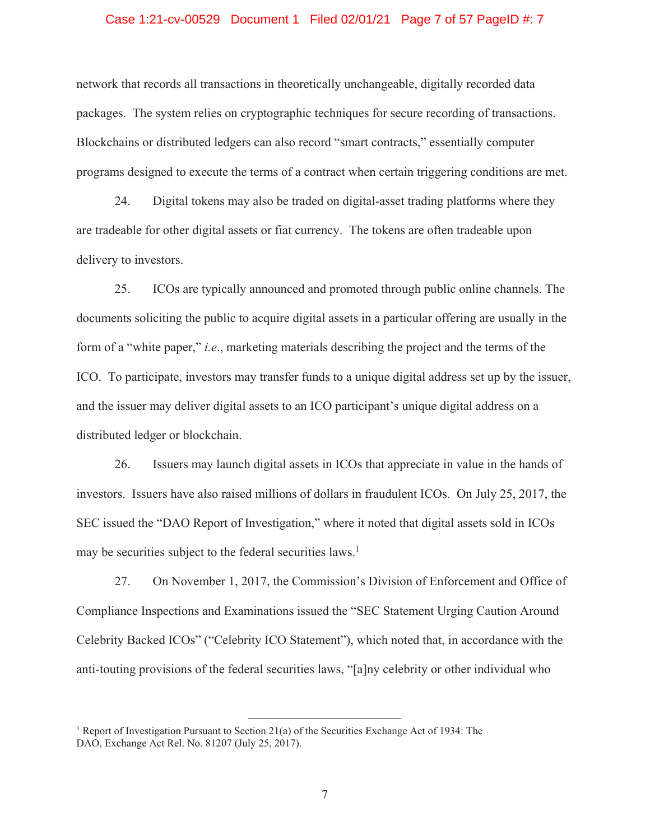### Case 1:21-cv-00529 Document 1 Filed 02/01/21 Page 7 of 57 PageID #: 7

network that records all transactions in theoretically unchangeable, digitally recorded data packages. The system relies on cryptographic techniques for secure recording of transactions. Blockchains or distributed ledgers can also record "smart contracts," essentially computer programs designed to execute the terms of a contract when certain triggering conditions are met.

24. Digital tokens may also be traded on digital-asset trading platforms where they are tradeable for other digital assets or fiat currency. The tokens are often tradeable upon delivery to investors.

25. ICOs are typically announced and promoted through public online channels. The documents soliciting the public to acquire digital assets in a particular offering are usually in the form of a "white paper," *i.e*., marketing materials describing the project and the terms of the ICO. To participate, investors may transfer funds to a unique digital address set up by the issuer, and the issuer may deliver digital assets to an ICO participant's unique digital address on a distributed ledger or blockchain.

26. Issuers may launch digital assets in ICOs that appreciate in value in the hands of investors. Issuers have also raised millions of dollars in fraudulent ICOs. On July 25, 2017, the SEC issued the "DAO Report of Investigation," where it noted that digital assets sold in ICOs may be securities subject to the federal securities laws.<sup>1</sup>

27. On November 1, 2017, the Commission's Division of Enforcement and Office of Compliance Inspections and Examinations issued the "SEC Statement Urging Caution Around Celebrity Backed ICOs" ("Celebrity ICO Statement"), which noted that, in accordance with the anti-touting provisions of the federal securities laws, "[a]ny celebrity or other individual who

<sup>&</sup>lt;sup>1</sup> Report of Investigation Pursuant to Section 21(a) of the Securities Exchange Act of 1934: The DAO, Exchange Act Rel. No. 81207 (July 25, 2017).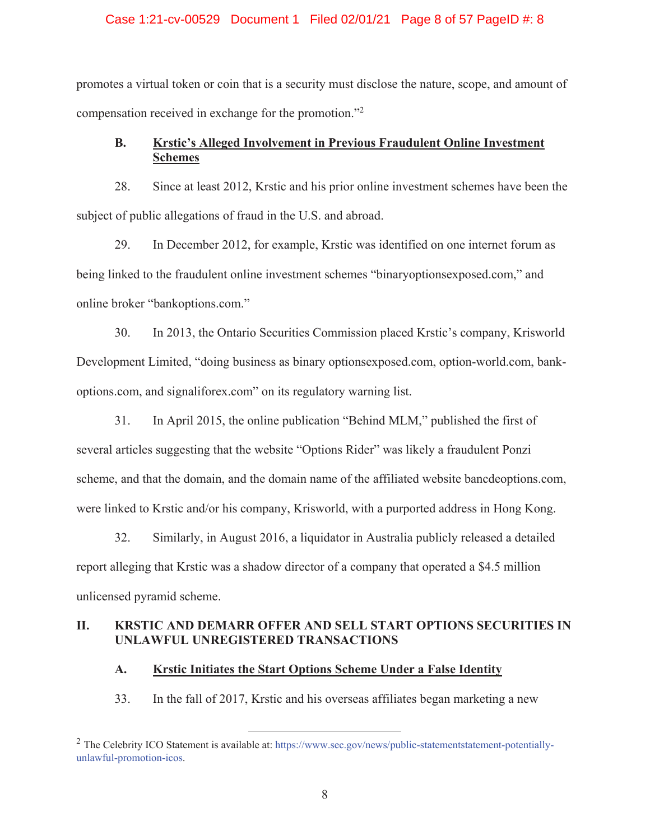### Case 1:21-cv-00529 Document 1 Filed 02/01/21 Page 8 of 57 PageID #: 8

promotes a virtual token or coin that is a security must disclose the nature, scope, and amount of compensation received in exchange for the promotion."2

# **B. Krstic's Alleged Involvement in Previous Fraudulent Online Investment Schemes**

28. Since at least 2012, Krstic and his prior online investment schemes have been the subject of public allegations of fraud in the U.S. and abroad.

29. In December 2012, for example, Krstic was identified on one internet forum as being linked to the fraudulent online investment schemes "binaryoptionsexposed.com," and online broker "bankoptions.com."

30. In 2013, the Ontario Securities Commission placed Krstic's company, Krisworld Development Limited, "doing business as binary optionsexposed.com, option-world.com, bankoptions.com, and signaliforex.com" on its regulatory warning list.

31. In April 2015, the online publication "Behind MLM," published the first of several articles suggesting that the website "Options Rider" was likely a fraudulent Ponzi scheme, and that the domain, and the domain name of the affiliated website bancdeoptions.com, were linked to Krstic and/or his company, Krisworld, with a purported address in Hong Kong.

32. Similarly, in August 2016, a liquidator in Australia publicly released a detailed report alleging that Krstic was a shadow director of a company that operated a \$4.5 million unlicensed pyramid scheme.

# **II. KRSTIC AND DEMARR OFFER AND SELL START OPTIONS SECURITIES IN UNLAWFUL UNREGISTERED TRANSACTIONS**

### **A. Krstic Initiates the Start Options Scheme Under a False Identity**

33. In the fall of 2017, Krstic and his overseas affiliates began marketing a new

<sup>&</sup>lt;sup>2</sup> The Celebrity ICO Statement is available at: https://www.sec.gov/news/public-statementstatement-potentiallyunlawful-promotion-icos.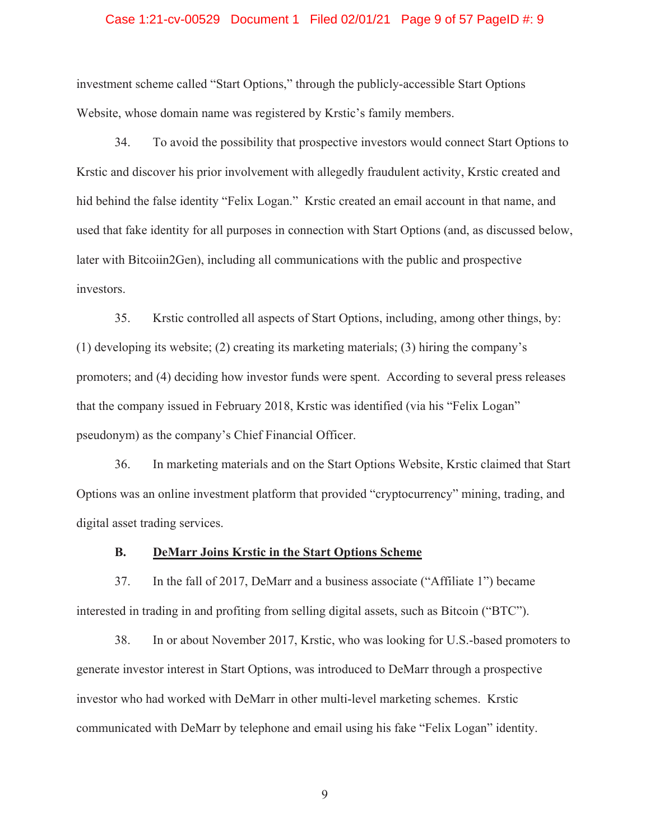### Case 1:21-cv-00529 Document 1 Filed 02/01/21 Page 9 of 57 PageID #: 9

investment scheme called "Start Options," through the publicly-accessible Start Options Website, whose domain name was registered by Krstic's family members.

34. To avoid the possibility that prospective investors would connect Start Options to Krstic and discover his prior involvement with allegedly fraudulent activity, Krstic created and hid behind the false identity "Felix Logan." Krstic created an email account in that name, and used that fake identity for all purposes in connection with Start Options (and, as discussed below, later with Bitcoiin2Gen), including all communications with the public and prospective investors.

35. Krstic controlled all aspects of Start Options, including, among other things, by: (1) developing its website; (2) creating its marketing materials; (3) hiring the company's promoters; and (4) deciding how investor funds were spent. According to several press releases that the company issued in February 2018, Krstic was identified (via his "Felix Logan" pseudonym) as the company's Chief Financial Officer.

36. In marketing materials and on the Start Options Website, Krstic claimed that Start Options was an online investment platform that provided "cryptocurrency" mining, trading, and digital asset trading services.

### **B. DeMarr Joins Krstic in the Start Options Scheme**

37. In the fall of 2017, DeMarr and a business associate ("Affiliate 1") became interested in trading in and profiting from selling digital assets, such as Bitcoin ("BTC").

38. In or about November 2017, Krstic, who was looking for U.S.-based promoters to generate investor interest in Start Options, was introduced to DeMarr through a prospective investor who had worked with DeMarr in other multi-level marketing schemes. Krstic communicated with DeMarr by telephone and email using his fake "Felix Logan" identity.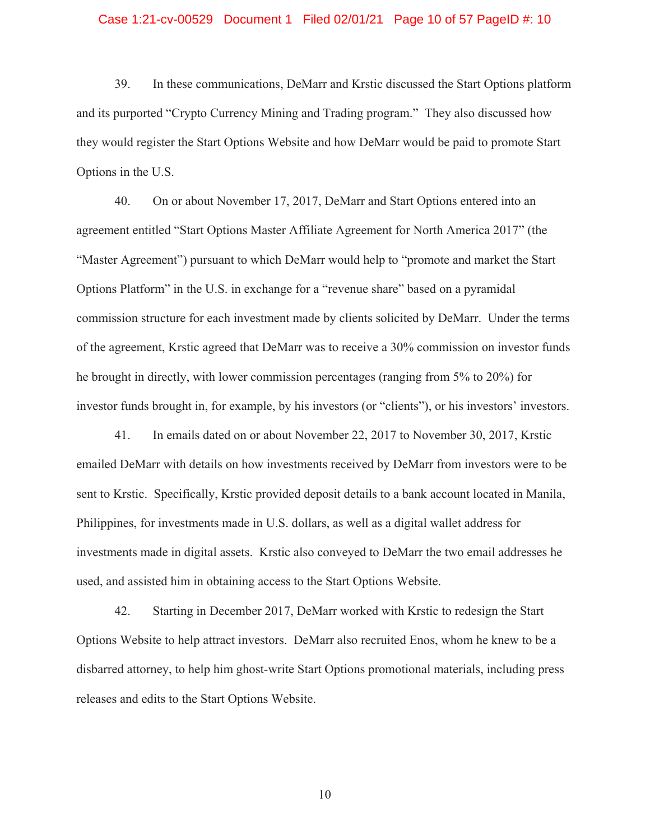#### Case 1:21-cv-00529 Document 1 Filed 02/01/21 Page 10 of 57 PageID #: 10

39. In these communications, DeMarr and Krstic discussed the Start Options platform and its purported "Crypto Currency Mining and Trading program." They also discussed how they would register the Start Options Website and how DeMarr would be paid to promote Start Options in the U.S.

40. On or about November 17, 2017, DeMarr and Start Options entered into an agreement entitled "Start Options Master Affiliate Agreement for North America 2017" (the "Master Agreement") pursuant to which DeMarr would help to "promote and market the Start Options Platform" in the U.S. in exchange for a "revenue share" based on a pyramidal commission structure for each investment made by clients solicited by DeMarr. Under the terms of the agreement, Krstic agreed that DeMarr was to receive a 30% commission on investor funds he brought in directly, with lower commission percentages (ranging from 5% to 20%) for investor funds brought in, for example, by his investors (or "clients"), or his investors' investors.

41. In emails dated on or about November 22, 2017 to November 30, 2017, Krstic emailed DeMarr with details on how investments received by DeMarr from investors were to be sent to Krstic. Specifically, Krstic provided deposit details to a bank account located in Manila, Philippines, for investments made in U.S. dollars, as well as a digital wallet address for investments made in digital assets. Krstic also conveyed to DeMarr the two email addresses he used, and assisted him in obtaining access to the Start Options Website.

42. Starting in December 2017, DeMarr worked with Krstic to redesign the Start Options Website to help attract investors. DeMarr also recruited Enos, whom he knew to be a disbarred attorney, to help him ghost-write Start Options promotional materials, including press releases and edits to the Start Options Website.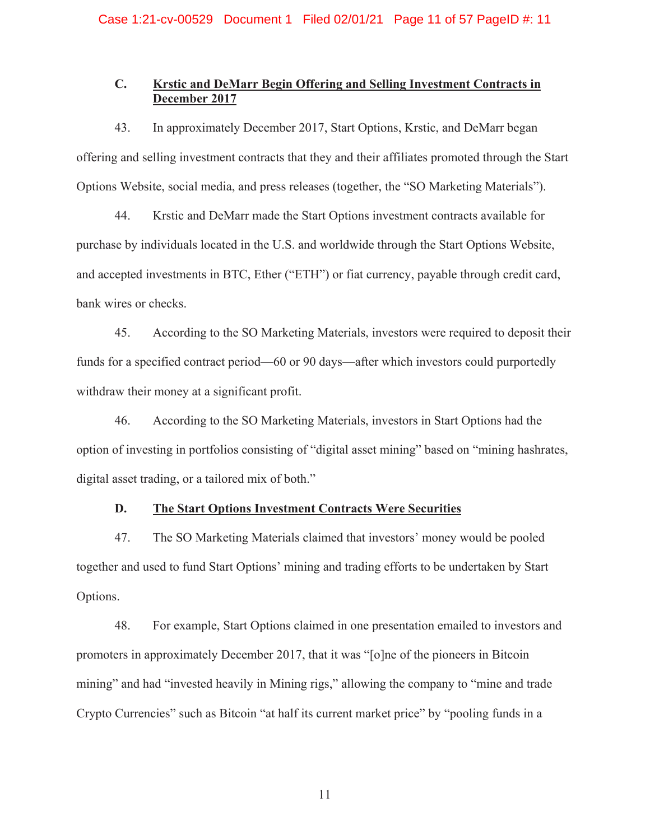# **C. Krstic and DeMarr Begin Offering and Selling Investment Contracts in December 2017**

43. In approximately December 2017, Start Options, Krstic, and DeMarr began offering and selling investment contracts that they and their affiliates promoted through the Start Options Website, social media, and press releases (together, the "SO Marketing Materials").

44. Krstic and DeMarr made the Start Options investment contracts available for purchase by individuals located in the U.S. and worldwide through the Start Options Website, and accepted investments in BTC, Ether ("ETH") or fiat currency, payable through credit card, bank wires or checks.

45. According to the SO Marketing Materials, investors were required to deposit their funds for a specified contract period—60 or 90 days—after which investors could purportedly withdraw their money at a significant profit.

46. According to the SO Marketing Materials, investors in Start Options had the option of investing in portfolios consisting of "digital asset mining" based on "mining hashrates, digital asset trading, or a tailored mix of both."

### **D. The Start Options Investment Contracts Were Securities**

47. The SO Marketing Materials claimed that investors' money would be pooled together and used to fund Start Options' mining and trading efforts to be undertaken by Start Options.

48. For example, Start Options claimed in one presentation emailed to investors and promoters in approximately December 2017, that it was "[o]ne of the pioneers in Bitcoin mining" and had "invested heavily in Mining rigs," allowing the company to "mine and trade Crypto Currencies" such as Bitcoin "at half its current market price" by "pooling funds in a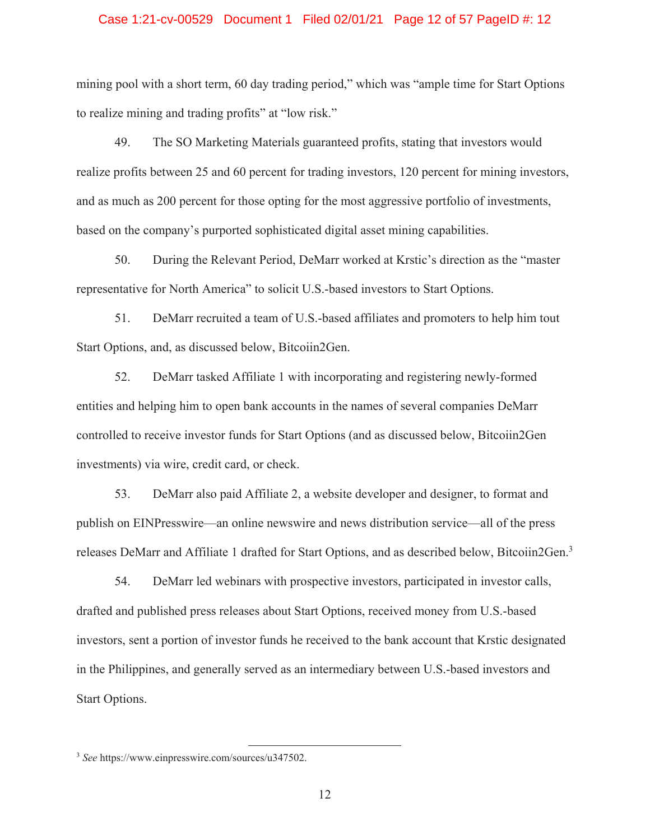### Case 1:21-cv-00529 Document 1 Filed 02/01/21 Page 12 of 57 PageID #: 12

mining pool with a short term, 60 day trading period," which was "ample time for Start Options to realize mining and trading profits" at "low risk."

49. The SO Marketing Materials guaranteed profits, stating that investors would realize profits between 25 and 60 percent for trading investors, 120 percent for mining investors, and as much as 200 percent for those opting for the most aggressive portfolio of investments, based on the company's purported sophisticated digital asset mining capabilities.

50. During the Relevant Period, DeMarr worked at Krstic's direction as the "master representative for North America" to solicit U.S.-based investors to Start Options.

51. DeMarr recruited a team of U.S.-based affiliates and promoters to help him tout Start Options, and, as discussed below, Bitcoiin2Gen.

52. DeMarr tasked Affiliate 1 with incorporating and registering newly-formed entities and helping him to open bank accounts in the names of several companies DeMarr controlled to receive investor funds for Start Options (and as discussed below, Bitcoiin2Gen investments) via wire, credit card, or check.

53. DeMarr also paid Affiliate 2, a website developer and designer, to format and publish on EINPresswire—an online newswire and news distribution service—all of the press releases DeMarr and Affiliate 1 drafted for Start Options, and as described below, Bitcoiin2Gen.<sup>3</sup>

54. DeMarr led webinars with prospective investors, participated in investor calls, drafted and published press releases about Start Options, received money from U.S.-based investors, sent a portion of investor funds he received to the bank account that Krstic designated in the Philippines, and generally served as an intermediary between U.S.-based investors and Start Options.

 <sup>3</sup> *See* https://www.einpresswire.com/sources/u347502.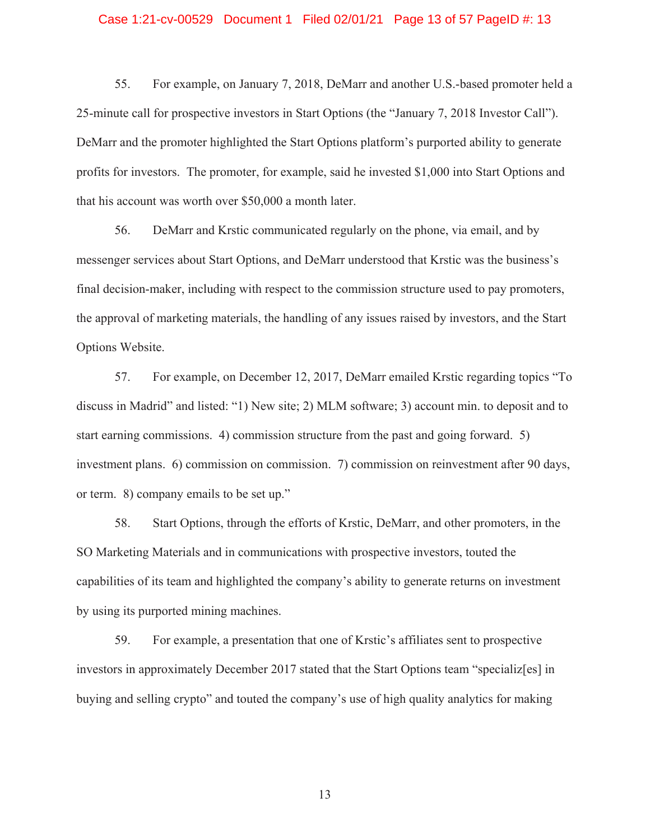### Case 1:21-cv-00529 Document 1 Filed 02/01/21 Page 13 of 57 PageID #: 13

55. For example, on January 7, 2018, DeMarr and another U.S.-based promoter held a 25-minute call for prospective investors in Start Options (the "January 7, 2018 Investor Call"). DeMarr and the promoter highlighted the Start Options platform's purported ability to generate profits for investors. The promoter, for example, said he invested \$1,000 into Start Options and that his account was worth over \$50,000 a month later.

56. DeMarr and Krstic communicated regularly on the phone, via email, and by messenger services about Start Options, and DeMarr understood that Krstic was the business's final decision-maker, including with respect to the commission structure used to pay promoters, the approval of marketing materials, the handling of any issues raised by investors, and the Start Options Website.

57. For example, on December 12, 2017, DeMarr emailed Krstic regarding topics "To discuss in Madrid" and listed: "1) New site; 2) MLM software; 3) account min. to deposit and to start earning commissions. 4) commission structure from the past and going forward. 5) investment plans. 6) commission on commission. 7) commission on reinvestment after 90 days, or term. 8) company emails to be set up."

58. Start Options, through the efforts of Krstic, DeMarr, and other promoters, in the SO Marketing Materials and in communications with prospective investors, touted the capabilities of its team and highlighted the company's ability to generate returns on investment by using its purported mining machines.

59. For example, a presentation that one of Krstic's affiliates sent to prospective investors in approximately December 2017 stated that the Start Options team "specializ[es] in buying and selling crypto" and touted the company's use of high quality analytics for making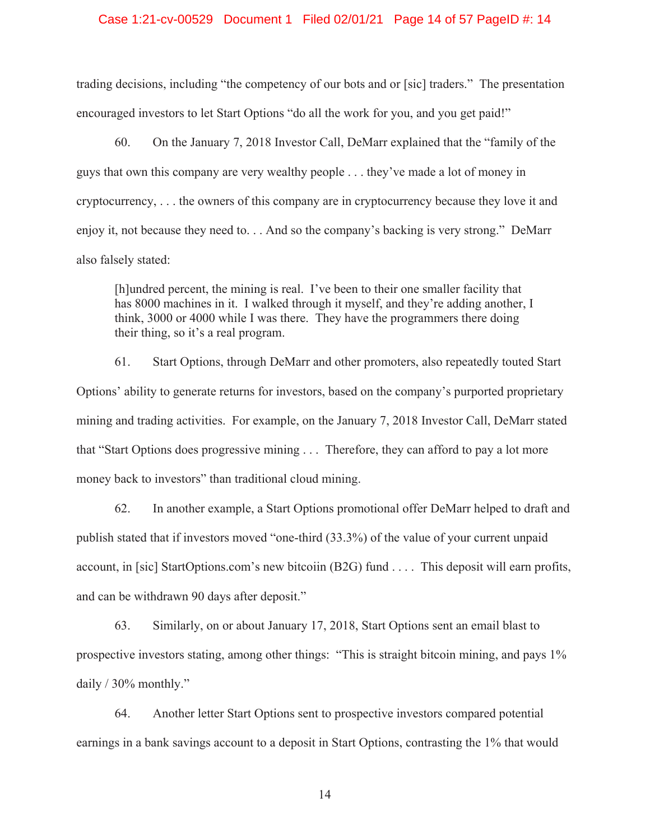### Case 1:21-cv-00529 Document 1 Filed 02/01/21 Page 14 of 57 PageID #: 14

trading decisions, including "the competency of our bots and or [sic] traders." The presentation encouraged investors to let Start Options "do all the work for you, and you get paid!"

60. On the January 7, 2018 Investor Call, DeMarr explained that the "family of the guys that own this company are very wealthy people . . . they've made a lot of money in cryptocurrency, . . . the owners of this company are in cryptocurrency because they love it and enjoy it, not because they need to. . . And so the company's backing is very strong." DeMarr also falsely stated:

[h]undred percent, the mining is real. I've been to their one smaller facility that has 8000 machines in it. I walked through it myself, and they're adding another, I think, 3000 or 4000 while I was there. They have the programmers there doing their thing, so it's a real program.

61. Start Options, through DeMarr and other promoters, also repeatedly touted Start Options' ability to generate returns for investors, based on the company's purported proprietary mining and trading activities. For example, on the January 7, 2018 Investor Call, DeMarr stated that "Start Options does progressive mining . . . Therefore, they can afford to pay a lot more money back to investors" than traditional cloud mining.

62. In another example, a Start Options promotional offer DeMarr helped to draft and publish stated that if investors moved "one-third (33.3%) of the value of your current unpaid account, in [sic] StartOptions.com's new bitcoiin (B2G) fund . . . . This deposit will earn profits, and can be withdrawn 90 days after deposit."

63. Similarly, on or about January 17, 2018, Start Options sent an email blast to prospective investors stating, among other things: "This is straight bitcoin mining, and pays 1% daily / 30% monthly."

64. Another letter Start Options sent to prospective investors compared potential earnings in a bank savings account to a deposit in Start Options, contrasting the 1% that would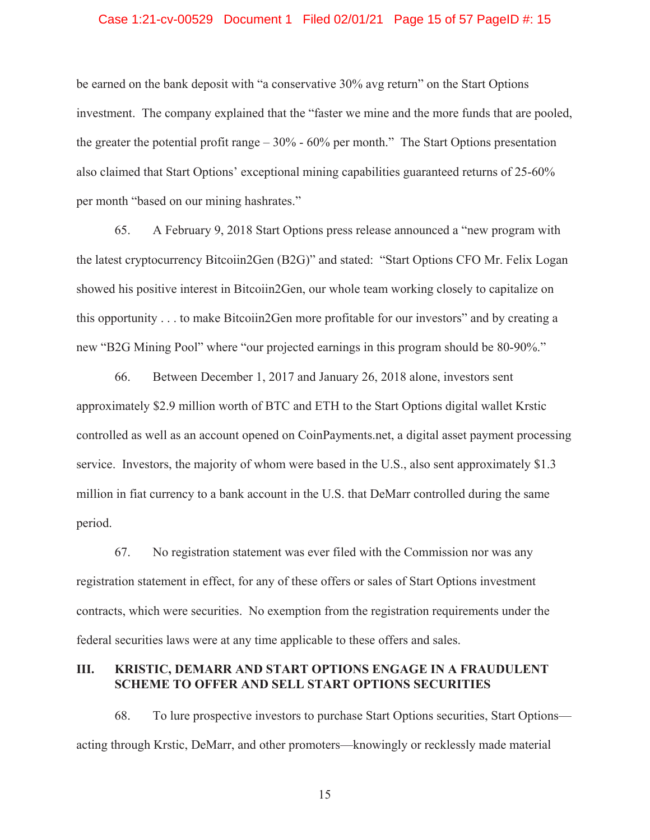### Case 1:21-cv-00529 Document 1 Filed 02/01/21 Page 15 of 57 PageID #: 15

be earned on the bank deposit with "a conservative 30% avg return" on the Start Options investment. The company explained that the "faster we mine and the more funds that are pooled, the greater the potential profit range  $-30\%$  - 60% per month." The Start Options presentation also claimed that Start Options' exceptional mining capabilities guaranteed returns of 25-60% per month "based on our mining hashrates."

65. A February 9, 2018 Start Options press release announced a "new program with the latest cryptocurrency Bitcoiin2Gen (B2G)" and stated: "Start Options CFO Mr. Felix Logan showed his positive interest in Bitcoiin2Gen, our whole team working closely to capitalize on this opportunity . . . to make Bitcoiin2Gen more profitable for our investors" and by creating a new "B2G Mining Pool" where "our projected earnings in this program should be 80-90%."

66. Between December 1, 2017 and January 26, 2018 alone, investors sent approximately \$2.9 million worth of BTC and ETH to the Start Options digital wallet Krstic controlled as well as an account opened on CoinPayments.net, a digital asset payment processing service. Investors, the majority of whom were based in the U.S., also sent approximately \$1.3 million in fiat currency to a bank account in the U.S. that DeMarr controlled during the same period.

67. No registration statement was ever filed with the Commission nor was any registration statement in effect, for any of these offers or sales of Start Options investment contracts, which were securities. No exemption from the registration requirements under the federal securities laws were at any time applicable to these offers and sales.

### **III. KRISTIC, DEMARR AND START OPTIONS ENGAGE IN A FRAUDULENT SCHEME TO OFFER AND SELL START OPTIONS SECURITIES**

68. To lure prospective investors to purchase Start Options securities, Start Options acting through Krstic, DeMarr, and other promoters—knowingly or recklessly made material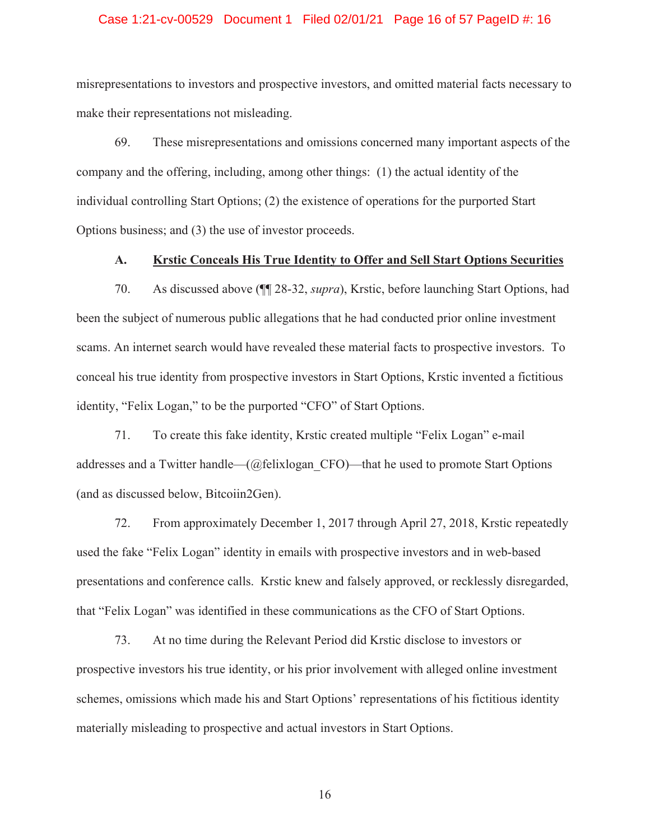### Case 1:21-cv-00529 Document 1 Filed 02/01/21 Page 16 of 57 PageID #: 16

misrepresentations to investors and prospective investors, and omitted material facts necessary to make their representations not misleading.

69. These misrepresentations and omissions concerned many important aspects of the company and the offering, including, among other things: (1) the actual identity of the individual controlling Start Options; (2) the existence of operations for the purported Start Options business; and (3) the use of investor proceeds.

### **A. Krstic Conceals His True Identity to Offer and Sell Start Options Securities**

70. As discussed above (¶¶ 28-32, *supra*), Krstic, before launching Start Options, had been the subject of numerous public allegations that he had conducted prior online investment scams. An internet search would have revealed these material facts to prospective investors. To conceal his true identity from prospective investors in Start Options, Krstic invented a fictitious identity, "Felix Logan," to be the purported "CFO" of Start Options.

71. To create this fake identity, Krstic created multiple "Felix Logan" e-mail addresses and a Twitter handle—(@felixlogan\_CFO)—that he used to promote Start Options (and as discussed below, Bitcoiin2Gen).

72. From approximately December 1, 2017 through April 27, 2018, Krstic repeatedly used the fake "Felix Logan" identity in emails with prospective investors and in web-based presentations and conference calls. Krstic knew and falsely approved, or recklessly disregarded, that "Felix Logan" was identified in these communications as the CFO of Start Options.

73. At no time during the Relevant Period did Krstic disclose to investors or prospective investors his true identity, or his prior involvement with alleged online investment schemes, omissions which made his and Start Options' representations of his fictitious identity materially misleading to prospective and actual investors in Start Options.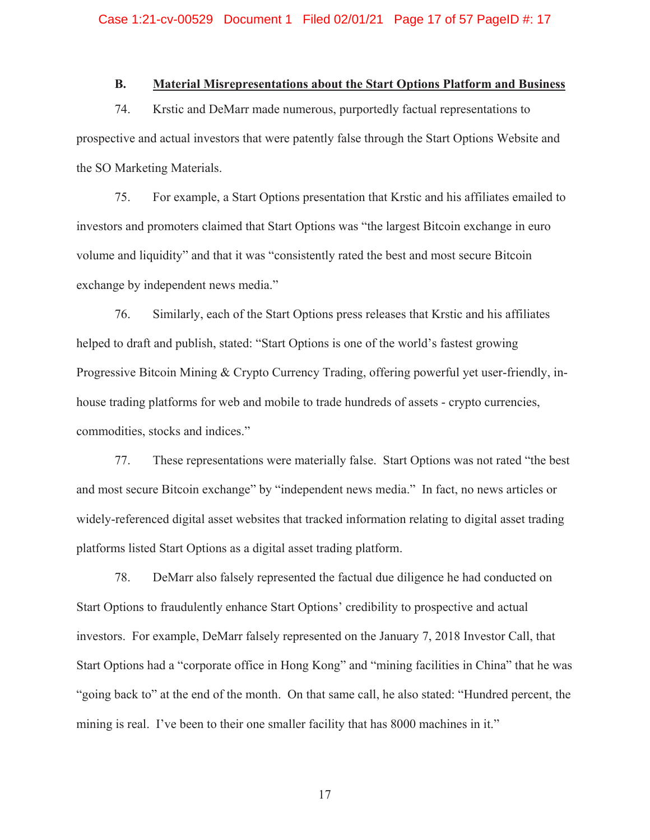## **B. Material Misrepresentations about the Start Options Platform and Business**

74. Krstic and DeMarr made numerous, purportedly factual representations to prospective and actual investors that were patently false through the Start Options Website and the SO Marketing Materials.

75. For example, a Start Options presentation that Krstic and his affiliates emailed to investors and promoters claimed that Start Options was "the largest Bitcoin exchange in euro volume and liquidity" and that it was "consistently rated the best and most secure Bitcoin exchange by independent news media."

76. Similarly, each of the Start Options press releases that Krstic and his affiliates helped to draft and publish, stated: "Start Options is one of the world's fastest growing Progressive Bitcoin Mining & Crypto Currency Trading, offering powerful yet user-friendly, inhouse trading platforms for web and mobile to trade hundreds of assets - crypto currencies, commodities, stocks and indices."

77. These representations were materially false. Start Options was not rated "the best and most secure Bitcoin exchange" by "independent news media." In fact, no news articles or widely-referenced digital asset websites that tracked information relating to digital asset trading platforms listed Start Options as a digital asset trading platform.

78. DeMarr also falsely represented the factual due diligence he had conducted on Start Options to fraudulently enhance Start Options' credibility to prospective and actual investors. For example, DeMarr falsely represented on the January 7, 2018 Investor Call, that Start Options had a "corporate office in Hong Kong" and "mining facilities in China" that he was "going back to" at the end of the month. On that same call, he also stated: "Hundred percent, the mining is real. I've been to their one smaller facility that has 8000 machines in it."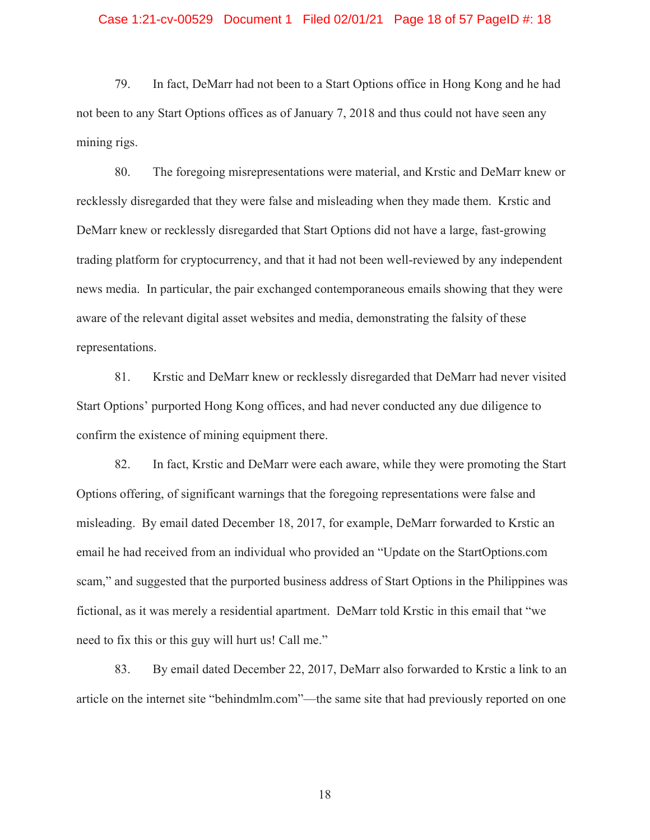### Case 1:21-cv-00529 Document 1 Filed 02/01/21 Page 18 of 57 PageID #: 18

79. In fact, DeMarr had not been to a Start Options office in Hong Kong and he had not been to any Start Options offices as of January 7, 2018 and thus could not have seen any mining rigs.

80. The foregoing misrepresentations were material, and Krstic and DeMarr knew or recklessly disregarded that they were false and misleading when they made them. Krstic and DeMarr knew or recklessly disregarded that Start Options did not have a large, fast-growing trading platform for cryptocurrency, and that it had not been well-reviewed by any independent news media. In particular, the pair exchanged contemporaneous emails showing that they were aware of the relevant digital asset websites and media, demonstrating the falsity of these representations.

81. Krstic and DeMarr knew or recklessly disregarded that DeMarr had never visited Start Options' purported Hong Kong offices, and had never conducted any due diligence to confirm the existence of mining equipment there.

82. In fact, Krstic and DeMarr were each aware, while they were promoting the Start Options offering, of significant warnings that the foregoing representations were false and misleading. By email dated December 18, 2017, for example, DeMarr forwarded to Krstic an email he had received from an individual who provided an "Update on the StartOptions.com scam," and suggested that the purported business address of Start Options in the Philippines was fictional, as it was merely a residential apartment. DeMarr told Krstic in this email that "we need to fix this or this guy will hurt us! Call me."

83. By email dated December 22, 2017, DeMarr also forwarded to Krstic a link to an article on the internet site "behindmlm.com"—the same site that had previously reported on one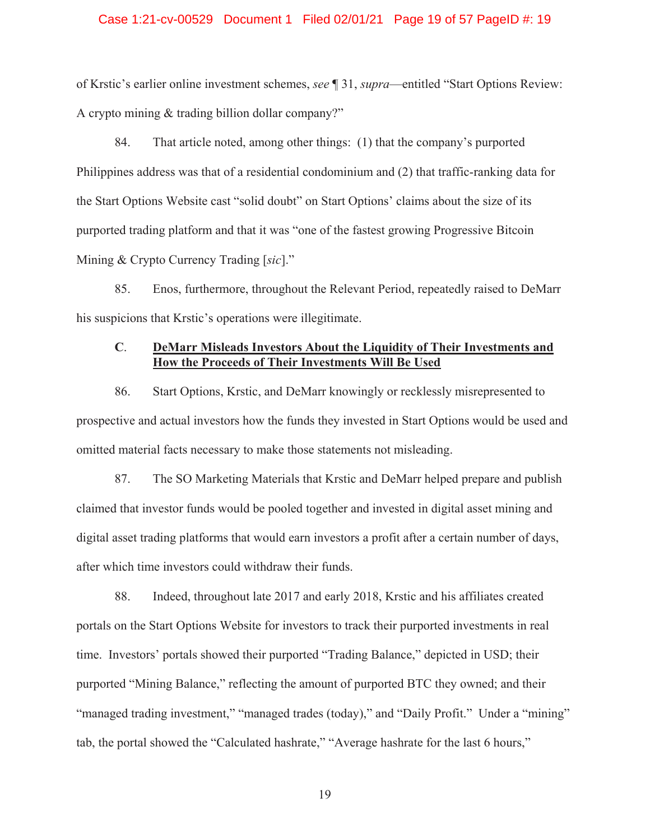### Case 1:21-cv-00529 Document 1 Filed 02/01/21 Page 19 of 57 PageID #: 19

of Krstic's earlier online investment schemes, *see* ¶ 31, *supra*—entitled "Start Options Review: A crypto mining & trading billion dollar company?"

84. That article noted, among other things: (1) that the company's purported Philippines address was that of a residential condominium and (2) that traffic-ranking data for the Start Options Website cast "solid doubt" on Start Options' claims about the size of its purported trading platform and that it was "one of the fastest growing Progressive Bitcoin Mining & Crypto Currency Trading [*sic*]."

85. Enos, furthermore, throughout the Relevant Period, repeatedly raised to DeMarr his suspicions that Krstic's operations were illegitimate.

# **C**. **DeMarr Misleads Investors About the Liquidity of Their Investments and How the Proceeds of Their Investments Will Be Used**

86. Start Options, Krstic, and DeMarr knowingly or recklessly misrepresented to prospective and actual investors how the funds they invested in Start Options would be used and omitted material facts necessary to make those statements not misleading.

87. The SO Marketing Materials that Krstic and DeMarr helped prepare and publish claimed that investor funds would be pooled together and invested in digital asset mining and digital asset trading platforms that would earn investors a profit after a certain number of days, after which time investors could withdraw their funds.

88. Indeed, throughout late 2017 and early 2018, Krstic and his affiliates created portals on the Start Options Website for investors to track their purported investments in real time. Investors' portals showed their purported "Trading Balance," depicted in USD; their purported "Mining Balance," reflecting the amount of purported BTC they owned; and their "managed trading investment," "managed trades (today)," and "Daily Profit." Under a "mining" tab, the portal showed the "Calculated hashrate," "Average hashrate for the last 6 hours,"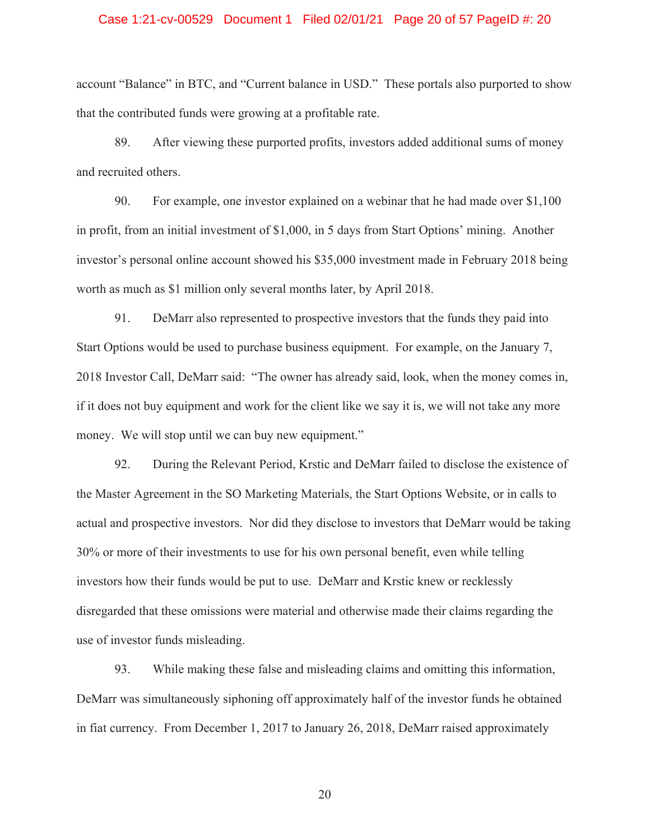### Case 1:21-cv-00529 Document 1 Filed 02/01/21 Page 20 of 57 PageID #: 20

account "Balance" in BTC, and "Current balance in USD." These portals also purported to show that the contributed funds were growing at a profitable rate.

89. After viewing these purported profits, investors added additional sums of money and recruited others.

90. For example, one investor explained on a webinar that he had made over \$1,100 in profit, from an initial investment of \$1,000, in 5 days from Start Options' mining. Another investor's personal online account showed his \$35,000 investment made in February 2018 being worth as much as \$1 million only several months later, by April 2018.

91. DeMarr also represented to prospective investors that the funds they paid into Start Options would be used to purchase business equipment. For example, on the January 7, 2018 Investor Call, DeMarr said: "The owner has already said, look, when the money comes in, if it does not buy equipment and work for the client like we say it is, we will not take any more money. We will stop until we can buy new equipment."

92. During the Relevant Period, Krstic and DeMarr failed to disclose the existence of the Master Agreement in the SO Marketing Materials, the Start Options Website, or in calls to actual and prospective investors. Nor did they disclose to investors that DeMarr would be taking 30% or more of their investments to use for his own personal benefit, even while telling investors how their funds would be put to use. DeMarr and Krstic knew or recklessly disregarded that these omissions were material and otherwise made their claims regarding the use of investor funds misleading.

93. While making these false and misleading claims and omitting this information, DeMarr was simultaneously siphoning off approximately half of the investor funds he obtained in fiat currency. From December 1, 2017 to January 26, 2018, DeMarr raised approximately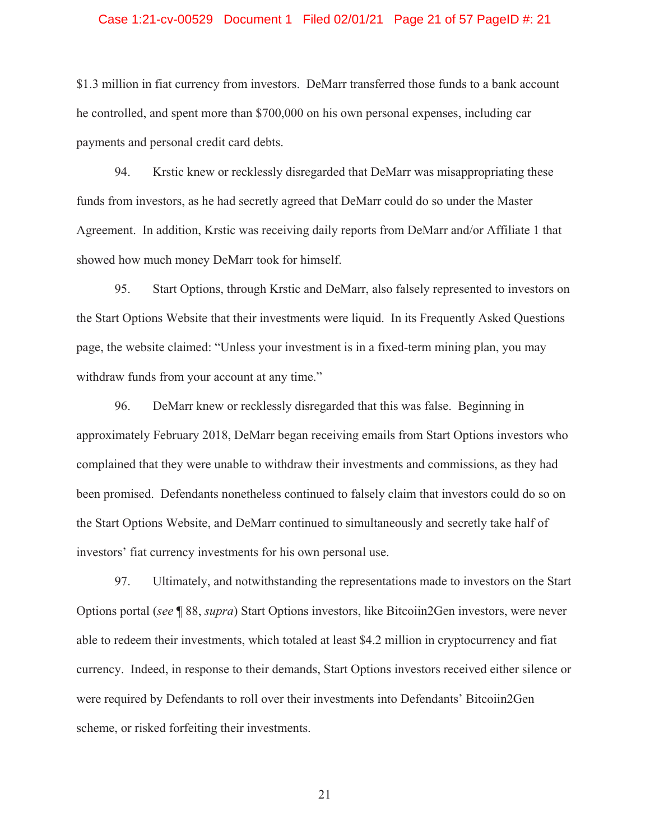### Case 1:21-cv-00529 Document 1 Filed 02/01/21 Page 21 of 57 PageID #: 21

\$1.3 million in fiat currency from investors. DeMarr transferred those funds to a bank account he controlled, and spent more than \$700,000 on his own personal expenses, including car payments and personal credit card debts.

94. Krstic knew or recklessly disregarded that DeMarr was misappropriating these funds from investors, as he had secretly agreed that DeMarr could do so under the Master Agreement. In addition, Krstic was receiving daily reports from DeMarr and/or Affiliate 1 that showed how much money DeMarr took for himself.

95. Start Options, through Krstic and DeMarr, also falsely represented to investors on the Start Options Website that their investments were liquid. In its Frequently Asked Questions page, the website claimed: "Unless your investment is in a fixed-term mining plan, you may withdraw funds from your account at any time."

96. DeMarr knew or recklessly disregarded that this was false. Beginning in approximately February 2018, DeMarr began receiving emails from Start Options investors who complained that they were unable to withdraw their investments and commissions, as they had been promised. Defendants nonetheless continued to falsely claim that investors could do so on the Start Options Website, and DeMarr continued to simultaneously and secretly take half of investors' fiat currency investments for his own personal use.

97. Ultimately, and notwithstanding the representations made to investors on the Start Options portal (*see* ¶ 88, *supra*) Start Options investors, like Bitcoiin2Gen investors, were never able to redeem their investments, which totaled at least \$4.2 million in cryptocurrency and fiat currency. Indeed, in response to their demands, Start Options investors received either silence or were required by Defendants to roll over their investments into Defendants' Bitcoiin2Gen scheme, or risked forfeiting their investments.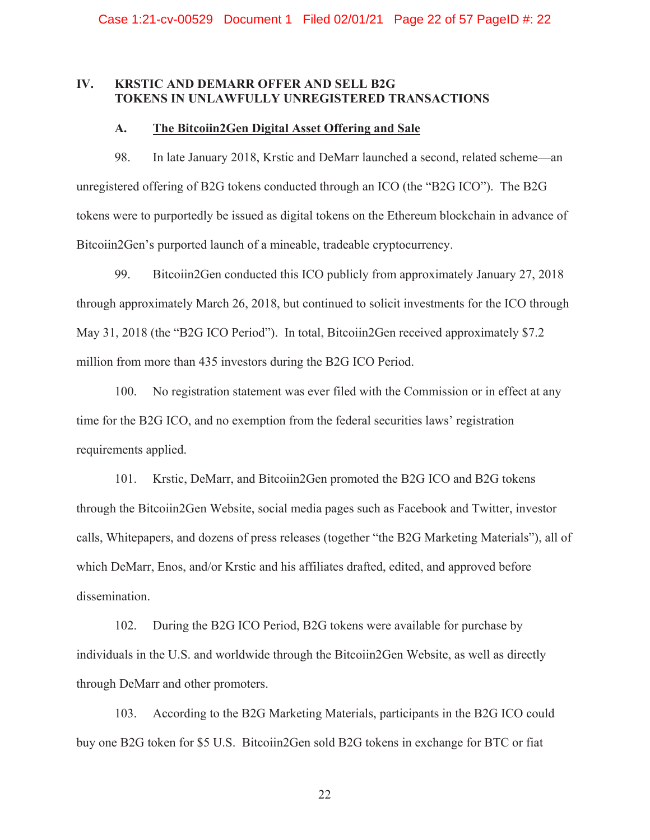### **IV. KRSTIC AND DEMARR OFFER AND SELL B2G TOKENS IN UNLAWFULLY UNREGISTERED TRANSACTIONS**

### **A. The Bitcoiin2Gen Digital Asset Offering and Sale**

98. In late January 2018, Krstic and DeMarr launched a second, related scheme—an unregistered offering of B2G tokens conducted through an ICO (the "B2G ICO"). The B2G tokens were to purportedly be issued as digital tokens on the Ethereum blockchain in advance of Bitcoiin2Gen's purported launch of a mineable, tradeable cryptocurrency.

99. Bitcoiin2Gen conducted this ICO publicly from approximately January 27, 2018 through approximately March 26, 2018, but continued to solicit investments for the ICO through May 31, 2018 (the "B2G ICO Period"). In total, Bitcoiin2Gen received approximately \$7.2 million from more than 435 investors during the B2G ICO Period.

100. No registration statement was ever filed with the Commission or in effect at any time for the B2G ICO, and no exemption from the federal securities laws' registration requirements applied.

101. Krstic, DeMarr, and Bitcoiin2Gen promoted the B2G ICO and B2G tokens through the Bitcoiin2Gen Website, social media pages such as Facebook and Twitter, investor calls, Whitepapers, and dozens of press releases (together "the B2G Marketing Materials"), all of which DeMarr, Enos, and/or Krstic and his affiliates drafted, edited, and approved before dissemination.

102. During the B2G ICO Period, B2G tokens were available for purchase by individuals in the U.S. and worldwide through the Bitcoiin2Gen Website, as well as directly through DeMarr and other promoters.

103. According to the B2G Marketing Materials, participants in the B2G ICO could buy one B2G token for \$5 U.S. Bitcoiin2Gen sold B2G tokens in exchange for BTC or fiat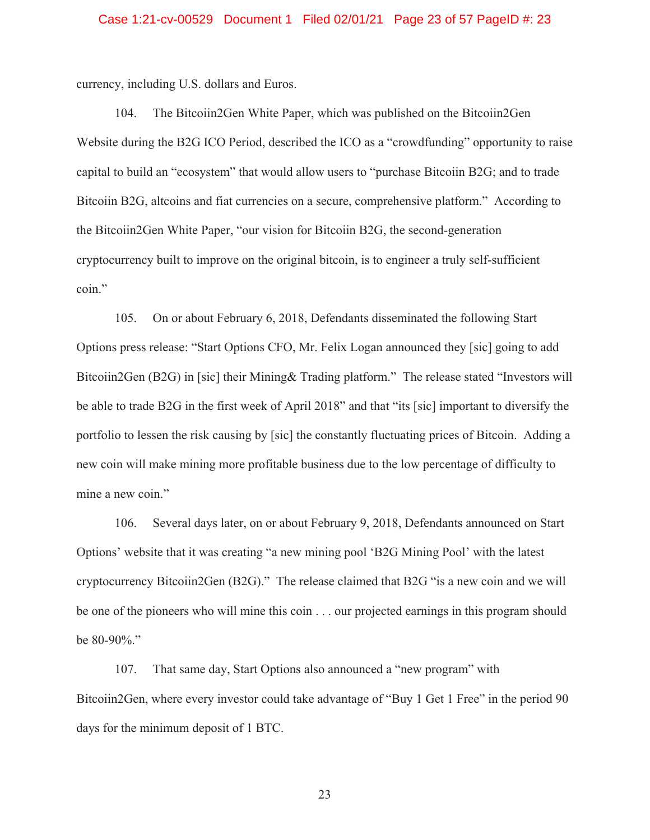### Case 1:21-cv-00529 Document 1 Filed 02/01/21 Page 23 of 57 PageID #: 23

currency, including U.S. dollars and Euros.

104. The Bitcoiin2Gen White Paper, which was published on the Bitcoiin2Gen Website during the B2G ICO Period, described the ICO as a "crowdfunding" opportunity to raise capital to build an "ecosystem" that would allow users to "purchase Bitcoiin B2G; and to trade Bitcoiin B2G, altcoins and fiat currencies on a secure, comprehensive platform." According to the Bitcoiin2Gen White Paper, "our vision for Bitcoiin B2G, the second-generation cryptocurrency built to improve on the original bitcoin, is to engineer a truly self-sufficient coin."

105. On or about February 6, 2018, Defendants disseminated the following Start Options press release: "Start Options CFO, Mr. Felix Logan announced they [sic] going to add Bitcoiin2Gen (B2G) in [sic] their Mining& Trading platform." The release stated "Investors will be able to trade B2G in the first week of April 2018" and that "its [sic] important to diversify the portfolio to lessen the risk causing by [sic] the constantly fluctuating prices of Bitcoin. Adding a new coin will make mining more profitable business due to the low percentage of difficulty to mine a new coin."

106. Several days later, on or about February 9, 2018, Defendants announced on Start Options' website that it was creating "a new mining pool 'B2G Mining Pool' with the latest cryptocurrency Bitcoiin2Gen (B2G)." The release claimed that B2G "is a new coin and we will be one of the pioneers who will mine this coin . . . our projected earnings in this program should be 80-90%."

107. That same day, Start Options also announced a "new program" with Bitcoiin2Gen, where every investor could take advantage of "Buy 1 Get 1 Free" in the period 90 days for the minimum deposit of 1 BTC.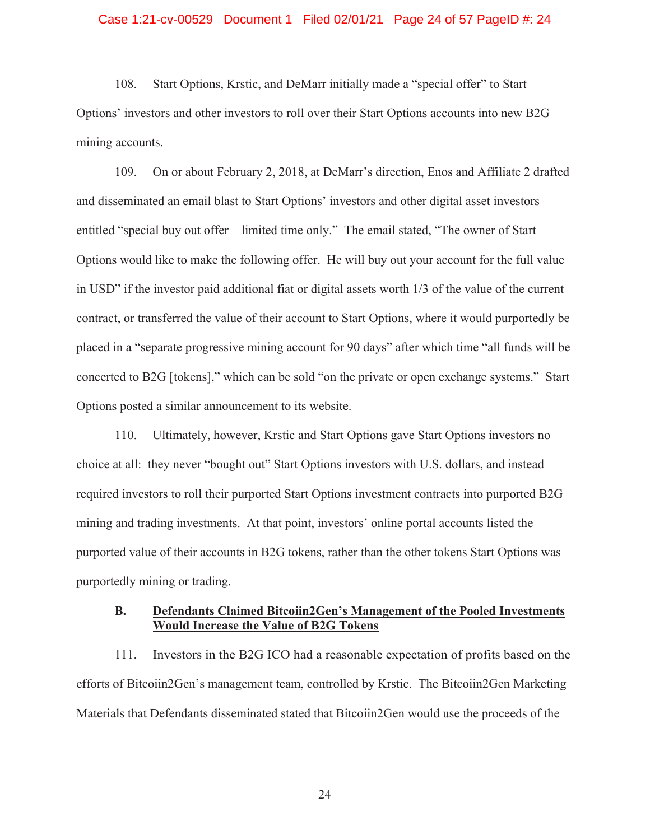### Case 1:21-cv-00529 Document 1 Filed 02/01/21 Page 24 of 57 PageID #: 24

108. Start Options, Krstic, and DeMarr initially made a "special offer" to Start Options' investors and other investors to roll over their Start Options accounts into new B2G mining accounts.

109. On or about February 2, 2018, at DeMarr's direction, Enos and Affiliate 2 drafted and disseminated an email blast to Start Options' investors and other digital asset investors entitled "special buy out offer – limited time only." The email stated, "The owner of Start Options would like to make the following offer. He will buy out your account for the full value in USD" if the investor paid additional fiat or digital assets worth 1/3 of the value of the current contract, or transferred the value of their account to Start Options, where it would purportedly be placed in a "separate progressive mining account for 90 days" after which time "all funds will be concerted to B2G [tokens]," which can be sold "on the private or open exchange systems." Start Options posted a similar announcement to its website.

110. Ultimately, however, Krstic and Start Options gave Start Options investors no choice at all: they never "bought out" Start Options investors with U.S. dollars, and instead required investors to roll their purported Start Options investment contracts into purported B2G mining and trading investments. At that point, investors' online portal accounts listed the purported value of their accounts in B2G tokens, rather than the other tokens Start Options was purportedly mining or trading.

### **B. Defendants Claimed Bitcoiin2Gen's Management of the Pooled Investments Would Increase the Value of B2G Tokens**

111. Investors in the B2G ICO had a reasonable expectation of profits based on the efforts of Bitcoiin2Gen's management team, controlled by Krstic. The Bitcoiin2Gen Marketing Materials that Defendants disseminated stated that Bitcoiin2Gen would use the proceeds of the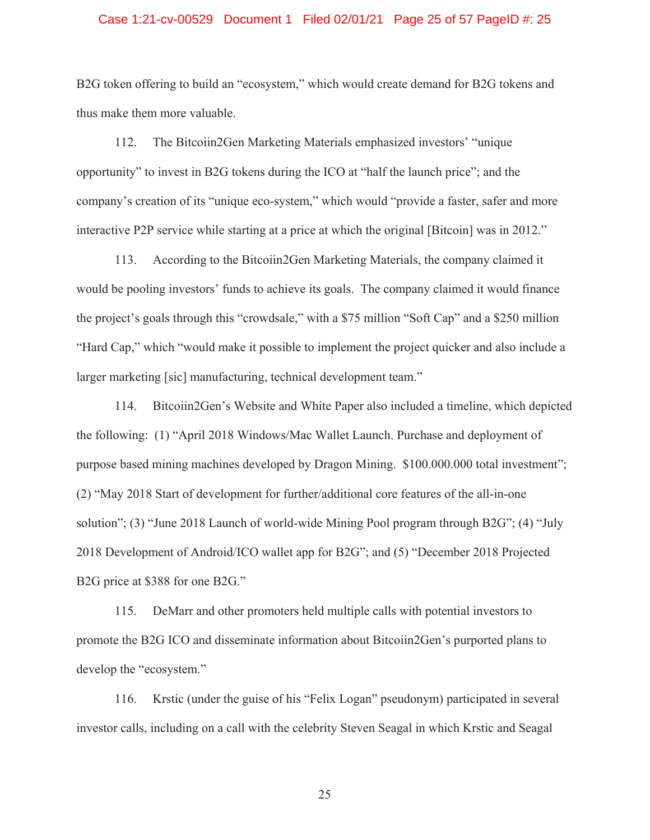### Case 1:21-cv-00529 Document 1 Filed 02/01/21 Page 25 of 57 PageID #: 25

B2G token offering to build an "ecosystem," which would create demand for B2G tokens and thus make them more valuable.

112. The Bitcoiin2Gen Marketing Materials emphasized investors' "unique opportunity" to invest in B2G tokens during the ICO at "half the launch price"; and the company's creation of its "unique eco-system," which would "provide a faster, safer and more interactive P2P service while starting at a price at which the original [Bitcoin] was in 2012."

113. According to the Bitcoiin2Gen Marketing Materials, the company claimed it would be pooling investors' funds to achieve its goals. The company claimed it would finance the project's goals through this "crowdsale," with a \$75 million "Soft Cap" and a \$250 million "Hard Cap," which "would make it possible to implement the project quicker and also include a larger marketing [sic] manufacturing, technical development team."

114. Bitcoiin2Gen's Website and White Paper also included a timeline, which depicted the following: (1) "April 2018 Windows/Mac Wallet Launch. Purchase and deployment of purpose based mining machines developed by Dragon Mining. \$100.000.000 total investment"; (2) "May 2018 Start of development for further/additional core features of the all-in-one solution"; (3) "June 2018 Launch of world-wide Mining Pool program through B2G"; (4) "July 2018 Development of Android/ICO wallet app for B2G"; and (5) "December 2018 Projected B2G price at \$388 for one B2G."

115. DeMarr and other promoters held multiple calls with potential investors to promote the B2G ICO and disseminate information about Bitcoiin2Gen's purported plans to develop the "ecosystem."

116. Krstic (under the guise of his "Felix Logan" pseudonym) participated in several investor calls, including on a call with the celebrity Steven Seagal in which Krstic and Seagal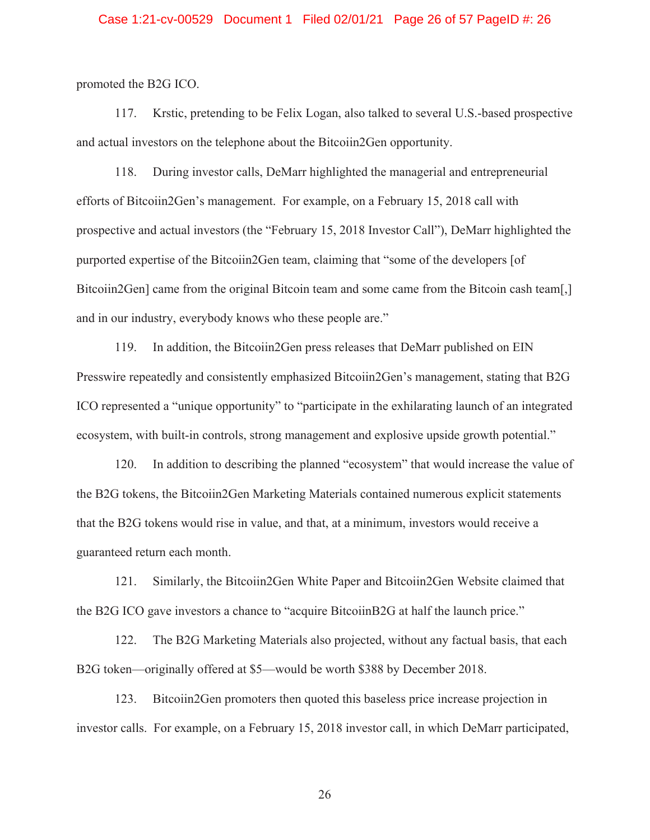### Case 1:21-cv-00529 Document 1 Filed 02/01/21 Page 26 of 57 PageID #: 26

promoted the B2G ICO.

117. Krstic, pretending to be Felix Logan, also talked to several U.S.-based prospective and actual investors on the telephone about the Bitcoiin2Gen opportunity.

118. During investor calls, DeMarr highlighted the managerial and entrepreneurial efforts of Bitcoiin2Gen's management. For example, on a February 15, 2018 call with prospective and actual investors (the "February 15, 2018 Investor Call"), DeMarr highlighted the purported expertise of the Bitcoiin2Gen team, claiming that "some of the developers [of Bitcoiin2Gen] came from the original Bitcoin team and some came from the Bitcoin cash team[,] and in our industry, everybody knows who these people are."

119. In addition, the Bitcoiin2Gen press releases that DeMarr published on EIN Presswire repeatedly and consistently emphasized Bitcoiin2Gen's management, stating that B2G ICO represented a "unique opportunity" to "participate in the exhilarating launch of an integrated ecosystem, with built-in controls, strong management and explosive upside growth potential."

120. In addition to describing the planned "ecosystem" that would increase the value of the B2G tokens, the Bitcoiin2Gen Marketing Materials contained numerous explicit statements that the B2G tokens would rise in value, and that, at a minimum, investors would receive a guaranteed return each month.

121. Similarly, the Bitcoiin2Gen White Paper and Bitcoiin2Gen Website claimed that the B2G ICO gave investors a chance to "acquire BitcoiinB2G at half the launch price."

122. The B2G Marketing Materials also projected, without any factual basis, that each B2G token—originally offered at \$5—would be worth \$388 by December 2018.

123. Bitcoiin2Gen promoters then quoted this baseless price increase projection in investor calls. For example, on a February 15, 2018 investor call, in which DeMarr participated,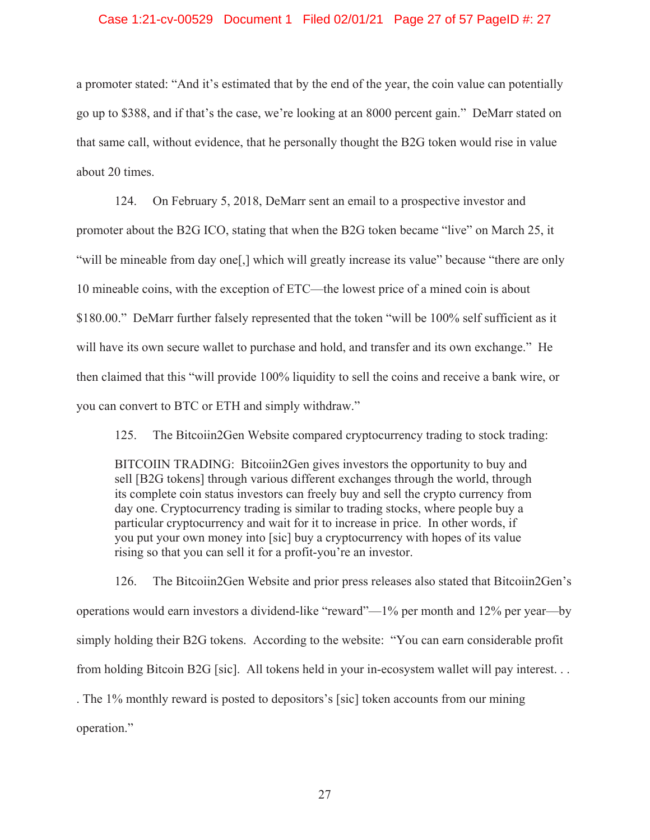### Case 1:21-cv-00529 Document 1 Filed 02/01/21 Page 27 of 57 PageID #: 27

a promoter stated: "And it's estimated that by the end of the year, the coin value can potentially go up to \$388, and if that's the case, we're looking at an 8000 percent gain." DeMarr stated on that same call, without evidence, that he personally thought the B2G token would rise in value about 20 times.

124. On February 5, 2018, DeMarr sent an email to a prospective investor and promoter about the B2G ICO, stating that when the B2G token became "live" on March 25, it "will be mineable from day one[,] which will greatly increase its value" because "there are only 10 mineable coins, with the exception of ETC—the lowest price of a mined coin is about \$180.00." DeMarr further falsely represented that the token "will be 100% self sufficient as it will have its own secure wallet to purchase and hold, and transfer and its own exchange." He then claimed that this "will provide 100% liquidity to sell the coins and receive a bank wire, or you can convert to BTC or ETH and simply withdraw."

125. The Bitcoiin2Gen Website compared cryptocurrency trading to stock trading:

BITCOIIN TRADING: Bitcoiin2Gen gives investors the opportunity to buy and sell [B2G tokens] through various different exchanges through the world, through its complete coin status investors can freely buy and sell the crypto currency from day one. Cryptocurrency trading is similar to trading stocks, where people buy a particular cryptocurrency and wait for it to increase in price. In other words, if you put your own money into [sic] buy a cryptocurrency with hopes of its value rising so that you can sell it for a profit-you're an investor.

126. The Bitcoiin2Gen Website and prior press releases also stated that Bitcoiin2Gen's operations would earn investors a dividend-like "reward"—1% per month and 12% per year—by simply holding their B2G tokens. According to the website: "You can earn considerable profit from holding Bitcoin B2G [sic]. All tokens held in your in-ecosystem wallet will pay interest. . . . The 1% monthly reward is posted to depositors's [sic] token accounts from our mining operation."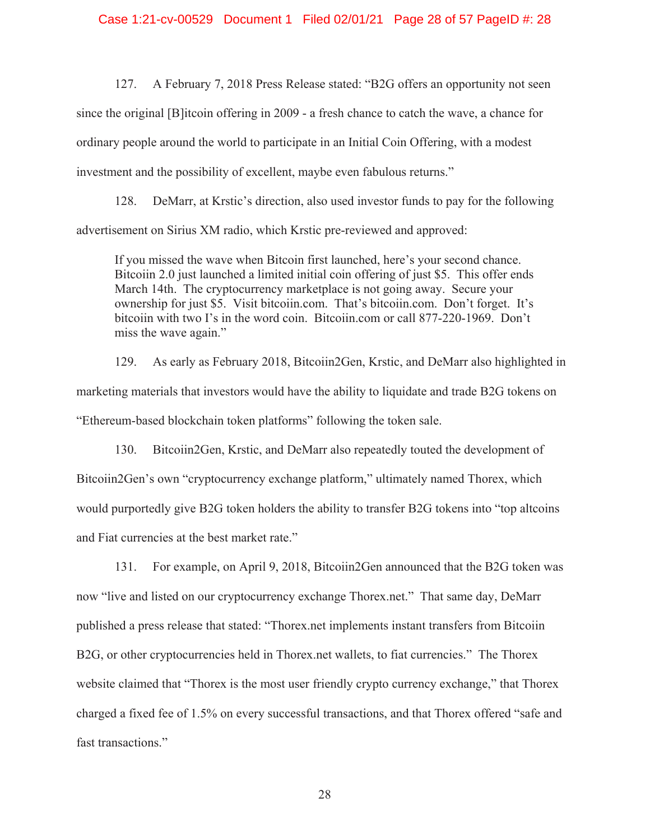127. A February 7, 2018 Press Release stated: "B2G offers an opportunity not seen since the original [B]itcoin offering in 2009 - a fresh chance to catch the wave, a chance for ordinary people around the world to participate in an Initial Coin Offering, with a modest investment and the possibility of excellent, maybe even fabulous returns."

128. DeMarr, at Krstic's direction, also used investor funds to pay for the following advertisement on Sirius XM radio, which Krstic pre-reviewed and approved:

If you missed the wave when Bitcoin first launched, here's your second chance. Bitcoiin 2.0 just launched a limited initial coin offering of just \$5. This offer ends March 14th. The cryptocurrency marketplace is not going away. Secure your ownership for just \$5. Visit bitcoiin.com. That's bitcoiin.com. Don't forget. It's bitcoiin with two I's in the word coin. Bitcoiin.com or call 877-220-1969. Don't miss the wave again."

129. As early as February 2018, Bitcoiin2Gen, Krstic, and DeMarr also highlighted in marketing materials that investors would have the ability to liquidate and trade B2G tokens on "Ethereum-based blockchain token platforms" following the token sale.

130. Bitcoiin2Gen, Krstic, and DeMarr also repeatedly touted the development of Bitcoiin2Gen's own "cryptocurrency exchange platform," ultimately named Thorex, which would purportedly give B2G token holders the ability to transfer B2G tokens into "top altcoins and Fiat currencies at the best market rate."

131. For example, on April 9, 2018, Bitcoiin2Gen announced that the B2G token was now "live and listed on our cryptocurrency exchange Thorex.net." That same day, DeMarr published a press release that stated: "Thorex.net implements instant transfers from Bitcoiin B2G, or other cryptocurrencies held in Thorex.net wallets, to fiat currencies." The Thorex website claimed that "Thorex is the most user friendly crypto currency exchange," that Thorex charged a fixed fee of 1.5% on every successful transactions, and that Thorex offered "safe and fast transactions."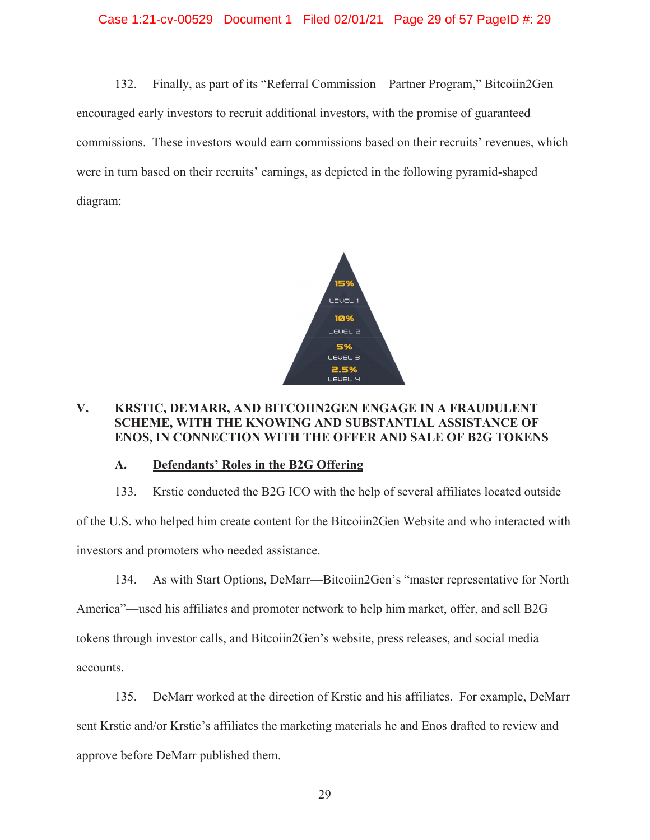### Case 1:21-cv-00529 Document 1 Filed 02/01/21 Page 29 of 57 PageID #: 29

132. Finally, as part of its "Referral Commission – Partner Program," Bitcoiin2Gen encouraged early investors to recruit additional investors, with the promise of guaranteed commissions. These investors would earn commissions based on their recruits' revenues, which were in turn based on their recruits' earnings, as depicted in the following pyramid-shaped diagram:



# **V. KRSTIC, DEMARR, AND BITCOIIN2GEN ENGAGE IN A FRAUDULENT SCHEME, WITH THE KNOWING AND SUBSTANTIAL ASSISTANCE OF ENOS, IN CONNECTION WITH THE OFFER AND SALE OF B2G TOKENS**

### **A. Defendants' Roles in the B2G Offering**

133. Krstic conducted the B2G ICO with the help of several affiliates located outside of the U.S. who helped him create content for the Bitcoiin2Gen Website and who interacted with investors and promoters who needed assistance.

134. As with Start Options, DeMarr—Bitcoiin2Gen's "master representative for North America"—used his affiliates and promoter network to help him market, offer, and sell B2G tokens through investor calls, and Bitcoiin2Gen's website, press releases, and social media accounts.

135. DeMarr worked at the direction of Krstic and his affiliates. For example, DeMarr sent Krstic and/or Krstic's affiliates the marketing materials he and Enos drafted to review and approve before DeMarr published them.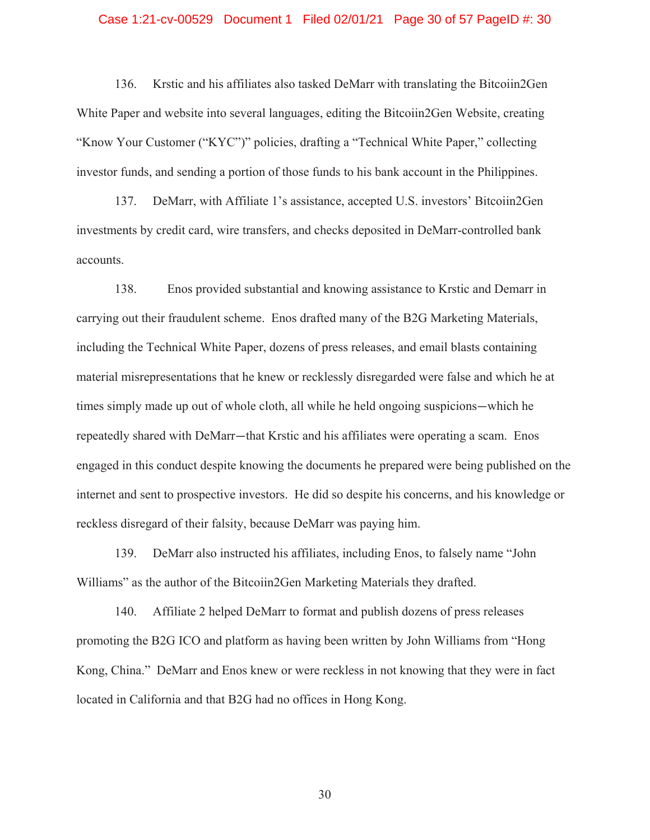### Case 1:21-cv-00529 Document 1 Filed 02/01/21 Page 30 of 57 PageID #: 30

136. Krstic and his affiliates also tasked DeMarr with translating the Bitcoiin2Gen White Paper and website into several languages, editing the Bitcoiin2Gen Website, creating "Know Your Customer ("KYC")" policies, drafting a "Technical White Paper," collecting investor funds, and sending a portion of those funds to his bank account in the Philippines.

137. DeMarr, with Affiliate 1's assistance, accepted U.S. investors' Bitcoiin2Gen investments by credit card, wire transfers, and checks deposited in DeMarr-controlled bank accounts.

138. Enos provided substantial and knowing assistance to Krstic and Demarr in carrying out their fraudulent scheme. Enos drafted many of the B2G Marketing Materials, including the Technical White Paper, dozens of press releases, and email blasts containing material misrepresentations that he knew or recklessly disregarded were false and which he at times simply made up out of whole cloth, all while he held ongoing suspicions—which he repeatedly shared with DeMarr—that Krstic and his affiliates were operating a scam. Enos engaged in this conduct despite knowing the documents he prepared were being published on the internet and sent to prospective investors. He did so despite his concerns, and his knowledge or reckless disregard of their falsity, because DeMarr was paying him.

139. DeMarr also instructed his affiliates, including Enos, to falsely name "John Williams" as the author of the Bitcoiin2Gen Marketing Materials they drafted.

140. Affiliate 2 helped DeMarr to format and publish dozens of press releases promoting the B2G ICO and platform as having been written by John Williams from "Hong Kong, China." DeMarr and Enos knew or were reckless in not knowing that they were in fact located in California and that B2G had no offices in Hong Kong.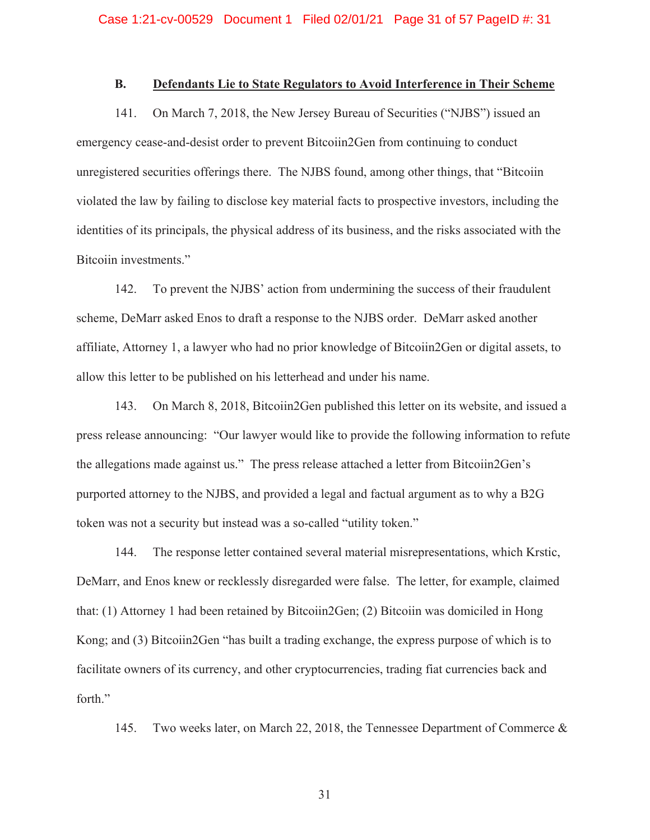### **B. Defendants Lie to State Regulators to Avoid Interference in Their Scheme**

141. On March 7, 2018, the New Jersey Bureau of Securities ("NJBS") issued an emergency cease-and-desist order to prevent Bitcoiin2Gen from continuing to conduct unregistered securities offerings there. The NJBS found, among other things, that "Bitcoiin violated the law by failing to disclose key material facts to prospective investors, including the identities of its principals, the physical address of its business, and the risks associated with the Bitcoiin investments."

142. To prevent the NJBS' action from undermining the success of their fraudulent scheme, DeMarr asked Enos to draft a response to the NJBS order. DeMarr asked another affiliate, Attorney 1, a lawyer who had no prior knowledge of Bitcoiin2Gen or digital assets, to allow this letter to be published on his letterhead and under his name.

143. On March 8, 2018, Bitcoiin2Gen published this letter on its website, and issued a press release announcing: "Our lawyer would like to provide the following information to refute the allegations made against us." The press release attached a letter from Bitcoiin2Gen's purported attorney to the NJBS, and provided a legal and factual argument as to why a B2G token was not a security but instead was a so-called "utility token."

144. The response letter contained several material misrepresentations, which Krstic, DeMarr, and Enos knew or recklessly disregarded were false. The letter, for example, claimed that: (1) Attorney 1 had been retained by Bitcoiin2Gen; (2) Bitcoiin was domiciled in Hong Kong; and (3) Bitcoiin2Gen "has built a trading exchange, the express purpose of which is to facilitate owners of its currency, and other cryptocurrencies, trading fiat currencies back and forth."

145. Two weeks later, on March 22, 2018, the Tennessee Department of Commerce &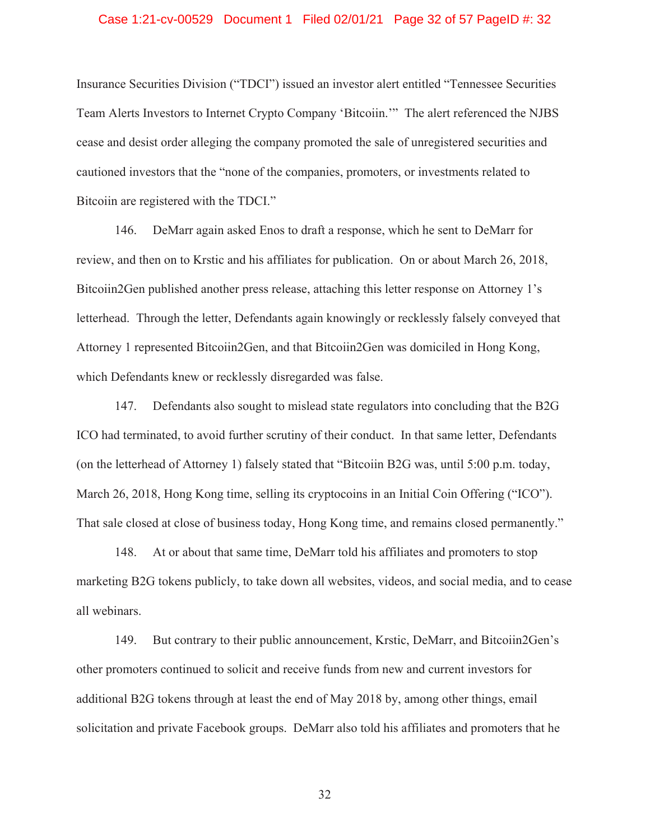### Case 1:21-cv-00529 Document 1 Filed 02/01/21 Page 32 of 57 PageID #: 32

Insurance Securities Division ("TDCI") issued an investor alert entitled "Tennessee Securities Team Alerts Investors to Internet Crypto Company 'Bitcoiin.'" The alert referenced the NJBS cease and desist order alleging the company promoted the sale of unregistered securities and cautioned investors that the "none of the companies, promoters, or investments related to Bitcoiin are registered with the TDCI."

146. DeMarr again asked Enos to draft a response, which he sent to DeMarr for review, and then on to Krstic and his affiliates for publication. On or about March 26, 2018, Bitcoiin2Gen published another press release, attaching this letter response on Attorney 1's letterhead. Through the letter, Defendants again knowingly or recklessly falsely conveyed that Attorney 1 represented Bitcoiin2Gen, and that Bitcoiin2Gen was domiciled in Hong Kong, which Defendants knew or recklessly disregarded was false.

147. Defendants also sought to mislead state regulators into concluding that the B2G ICO had terminated, to avoid further scrutiny of their conduct. In that same letter, Defendants (on the letterhead of Attorney 1) falsely stated that "Bitcoiin B2G was, until 5:00 p.m. today, March 26, 2018, Hong Kong time, selling its cryptocoins in an Initial Coin Offering ("ICO"). That sale closed at close of business today, Hong Kong time, and remains closed permanently."

148. At or about that same time, DeMarr told his affiliates and promoters to stop marketing B2G tokens publicly, to take down all websites, videos, and social media, and to cease all webinars.

149. But contrary to their public announcement, Krstic, DeMarr, and Bitcoiin2Gen's other promoters continued to solicit and receive funds from new and current investors for additional B2G tokens through at least the end of May 2018 by, among other things, email solicitation and private Facebook groups. DeMarr also told his affiliates and promoters that he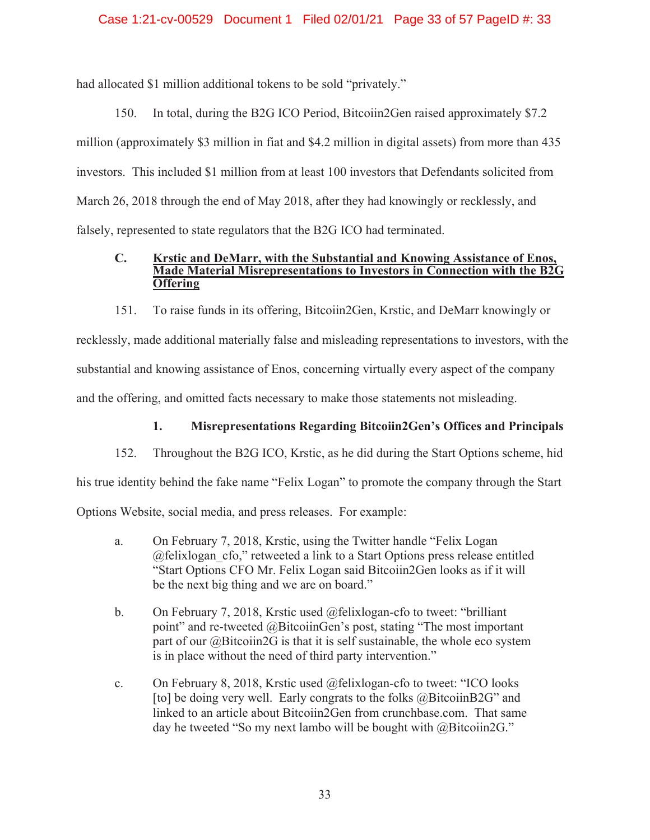### Case 1:21-cv-00529 Document 1 Filed 02/01/21 Page 33 of 57 PageID #: 33

had allocated \$1 million additional tokens to be sold "privately."

150. In total, during the B2G ICO Period, Bitcoiin2Gen raised approximately \$7.2 million (approximately \$3 million in fiat and \$4.2 million in digital assets) from more than 435 investors. This included \$1 million from at least 100 investors that Defendants solicited from March 26, 2018 through the end of May 2018, after they had knowingly or recklessly, and falsely, represented to state regulators that the B2G ICO had terminated.

### **C. Krstic and DeMarr, with the Substantial and Knowing Assistance of Enos, Made Material Misrepresentations to Investors in Connection with the B2G Offering**

151. To raise funds in its offering, Bitcoiin2Gen, Krstic, and DeMarr knowingly or recklessly, made additional materially false and misleading representations to investors, with the substantial and knowing assistance of Enos, concerning virtually every aspect of the company and the offering, and omitted facts necessary to make those statements not misleading.

# **1. Misrepresentations Regarding Bitcoiin2Gen's Offices and Principals**

152. Throughout the B2G ICO, Krstic, as he did during the Start Options scheme, hid

his true identity behind the fake name "Felix Logan" to promote the company through the Start

Options Website, social media, and press releases. For example:

- a. On February 7, 2018, Krstic, using the Twitter handle "Felix Logan @felixlogan\_cfo," retweeted a link to a Start Options press release entitled "Start Options CFO Mr. Felix Logan said Bitcoiin2Gen looks as if it will be the next big thing and we are on board."
- b. On February 7, 2018, Krstic used @felixlogan-cfo to tweet: "brilliant point" and re-tweeted @BitcoiinGen's post, stating "The most important part of our @Bitcoiin2G is that it is self sustainable, the whole eco system is in place without the need of third party intervention."
- c. On February 8, 2018, Krstic used @felixlogan-cfo to tweet: "ICO looks [to] be doing very well. Early congrats to the folks @BitcoiinB2G" and linked to an article about Bitcoiin2Gen from crunchbase.com. That same day he tweeted "So my next lambo will be bought with @Bitcoiin2G."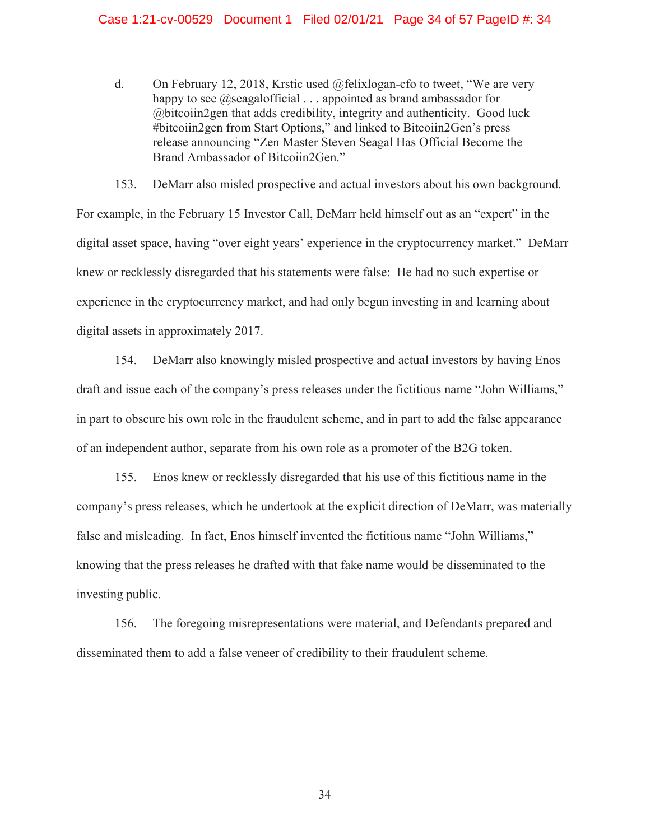d. On February 12, 2018, Krstic used @felixlogan-cfo to tweet, "We are very happy to see  $@$ seagalofficial  $\dots$  appointed as brand ambassador for @bitcoiin2gen that adds credibility, integrity and authenticity. Good luck #bitcoiin2gen from Start Options," and linked to Bitcoiin2Gen's press release announcing "Zen Master Steven Seagal Has Official Become the Brand Ambassador of Bitcoiin2Gen."

153. DeMarr also misled prospective and actual investors about his own background. For example, in the February 15 Investor Call, DeMarr held himself out as an "expert" in the digital asset space, having "over eight years' experience in the cryptocurrency market." DeMarr knew or recklessly disregarded that his statements were false: He had no such expertise or experience in the cryptocurrency market, and had only begun investing in and learning about digital assets in approximately 2017.

154. DeMarr also knowingly misled prospective and actual investors by having Enos draft and issue each of the company's press releases under the fictitious name "John Williams," in part to obscure his own role in the fraudulent scheme, and in part to add the false appearance of an independent author, separate from his own role as a promoter of the B2G token.

155. Enos knew or recklessly disregarded that his use of this fictitious name in the company's press releases, which he undertook at the explicit direction of DeMarr, was materially false and misleading. In fact, Enos himself invented the fictitious name "John Williams," knowing that the press releases he drafted with that fake name would be disseminated to the investing public.

156. The foregoing misrepresentations were material, and Defendants prepared and disseminated them to add a false veneer of credibility to their fraudulent scheme.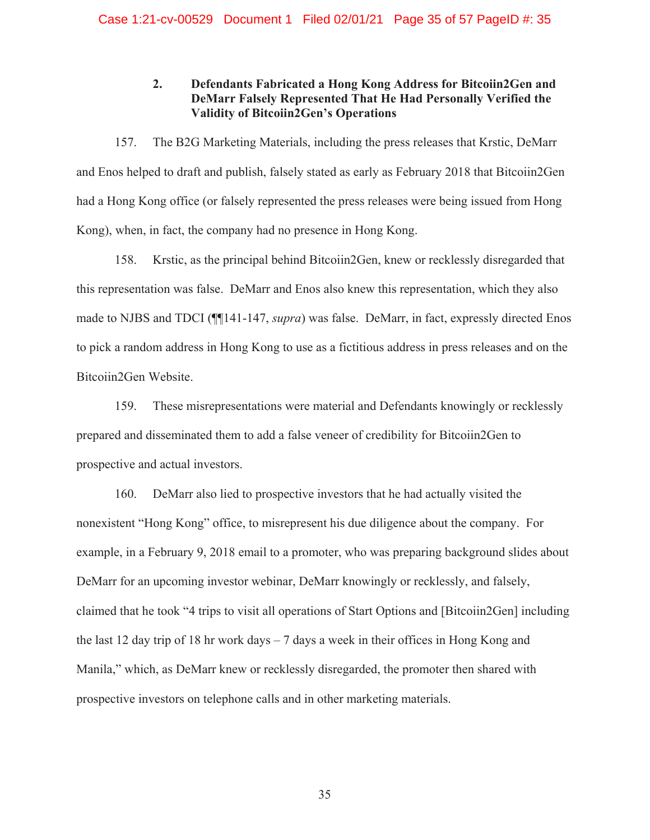# **2. Defendants Fabricated a Hong Kong Address for Bitcoiin2Gen and DeMarr Falsely Represented That He Had Personally Verified the Validity of Bitcoiin2Gen's Operations**

157. The B2G Marketing Materials, including the press releases that Krstic, DeMarr and Enos helped to draft and publish, falsely stated as early as February 2018 that Bitcoiin2Gen had a Hong Kong office (or falsely represented the press releases were being issued from Hong Kong), when, in fact, the company had no presence in Hong Kong.

158. Krstic, as the principal behind Bitcoiin2Gen, knew or recklessly disregarded that this representation was false. DeMarr and Enos also knew this representation, which they also made to NJBS and TDCI (¶¶141-147, *supra*) was false. DeMarr, in fact, expressly directed Enos to pick a random address in Hong Kong to use as a fictitious address in press releases and on the Bitcoiin2Gen Website.

159. These misrepresentations were material and Defendants knowingly or recklessly prepared and disseminated them to add a false veneer of credibility for Bitcoiin2Gen to prospective and actual investors.

160. DeMarr also lied to prospective investors that he had actually visited the nonexistent "Hong Kong" office, to misrepresent his due diligence about the company. For example, in a February 9, 2018 email to a promoter, who was preparing background slides about DeMarr for an upcoming investor webinar, DeMarr knowingly or recklessly, and falsely, claimed that he took "4 trips to visit all operations of Start Options and [Bitcoiin2Gen] including the last 12 day trip of 18 hr work days  $-7$  days a week in their offices in Hong Kong and Manila," which, as DeMarr knew or recklessly disregarded, the promoter then shared with prospective investors on telephone calls and in other marketing materials.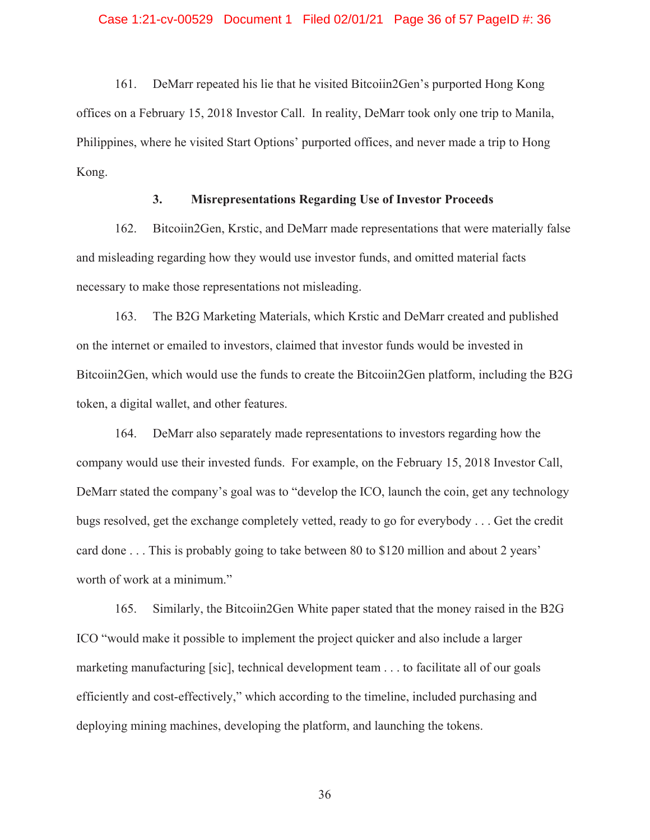161. DeMarr repeated his lie that he visited Bitcoiin2Gen's purported Hong Kong offices on a February 15, 2018 Investor Call. In reality, DeMarr took only one trip to Manila, Philippines, where he visited Start Options' purported offices, and never made a trip to Hong Kong.

## **3. Misrepresentations Regarding Use of Investor Proceeds**

162. Bitcoiin2Gen, Krstic, and DeMarr made representations that were materially false and misleading regarding how they would use investor funds, and omitted material facts necessary to make those representations not misleading.

163. The B2G Marketing Materials, which Krstic and DeMarr created and published on the internet or emailed to investors, claimed that investor funds would be invested in Bitcoiin2Gen, which would use the funds to create the Bitcoiin2Gen platform, including the B2G token, a digital wallet, and other features.

164. DeMarr also separately made representations to investors regarding how the company would use their invested funds. For example, on the February 15, 2018 Investor Call, DeMarr stated the company's goal was to "develop the ICO, launch the coin, get any technology bugs resolved, get the exchange completely vetted, ready to go for everybody . . . Get the credit card done . . . This is probably going to take between 80 to \$120 million and about 2 years' worth of work at a minimum."

165. Similarly, the Bitcoiin2Gen White paper stated that the money raised in the B2G ICO "would make it possible to implement the project quicker and also include a larger marketing manufacturing [sic], technical development team . . . to facilitate all of our goals efficiently and cost-effectively," which according to the timeline, included purchasing and deploying mining machines, developing the platform, and launching the tokens.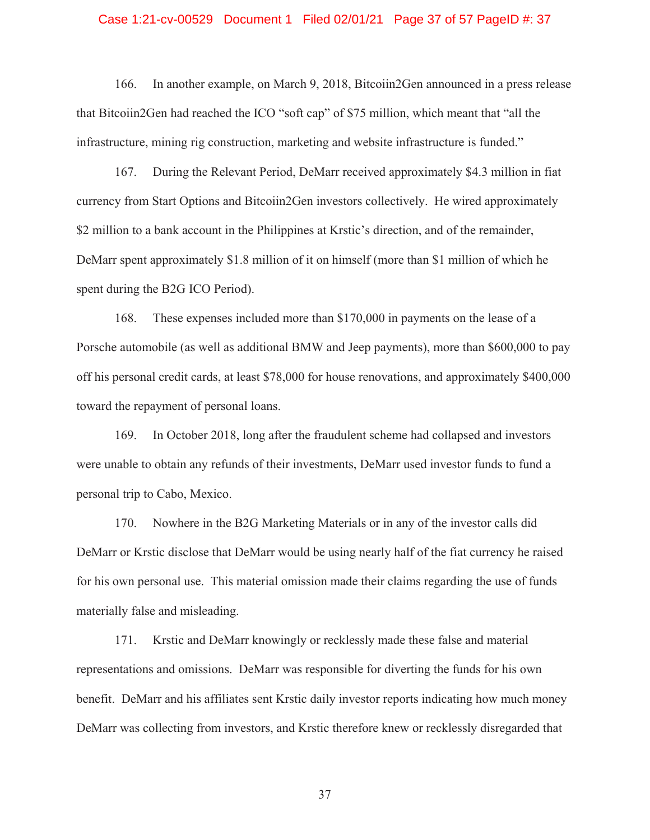#### Case 1:21-cv-00529 Document 1 Filed 02/01/21 Page 37 of 57 PageID #: 37

166. In another example, on March 9, 2018, Bitcoiin2Gen announced in a press release that Bitcoiin2Gen had reached the ICO "soft cap" of \$75 million, which meant that "all the infrastructure, mining rig construction, marketing and website infrastructure is funded."

167. During the Relevant Period, DeMarr received approximately \$4.3 million in fiat currency from Start Options and Bitcoiin2Gen investors collectively. He wired approximately \$2 million to a bank account in the Philippines at Krstic's direction, and of the remainder, DeMarr spent approximately \$1.8 million of it on himself (more than \$1 million of which he spent during the B2G ICO Period).

168. These expenses included more than \$170,000 in payments on the lease of a Porsche automobile (as well as additional BMW and Jeep payments), more than \$600,000 to pay off his personal credit cards, at least \$78,000 for house renovations, and approximately \$400,000 toward the repayment of personal loans.

169. In October 2018, long after the fraudulent scheme had collapsed and investors were unable to obtain any refunds of their investments, DeMarr used investor funds to fund a personal trip to Cabo, Mexico.

170. Nowhere in the B2G Marketing Materials or in any of the investor calls did DeMarr or Krstic disclose that DeMarr would be using nearly half of the fiat currency he raised for his own personal use. This material omission made their claims regarding the use of funds materially false and misleading.

171. Krstic and DeMarr knowingly or recklessly made these false and material representations and omissions. DeMarr was responsible for diverting the funds for his own benefit. DeMarr and his affiliates sent Krstic daily investor reports indicating how much money DeMarr was collecting from investors, and Krstic therefore knew or recklessly disregarded that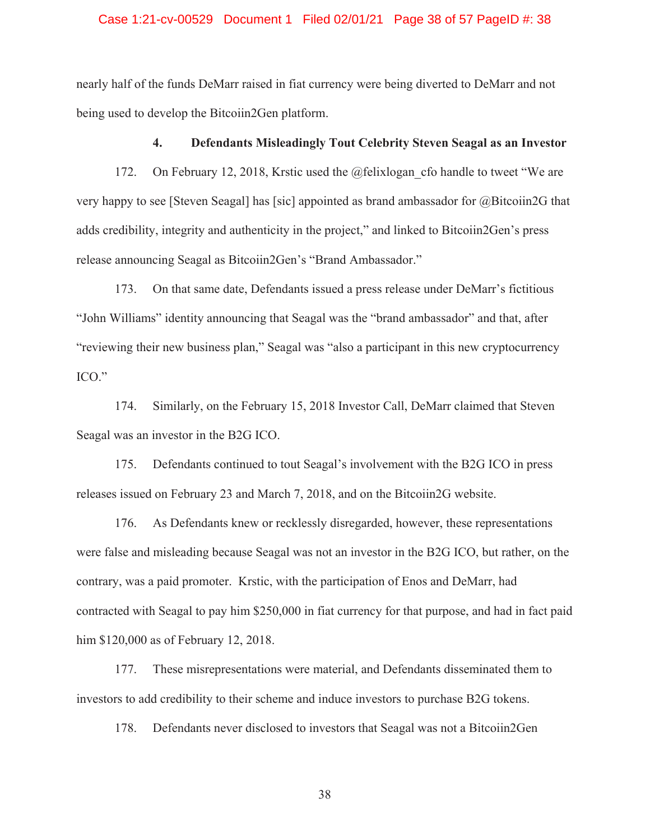### Case 1:21-cv-00529 Document 1 Filed 02/01/21 Page 38 of 57 PageID #: 38

nearly half of the funds DeMarr raised in fiat currency were being diverted to DeMarr and not being used to develop the Bitcoiin2Gen platform.

### **4. Defendants Misleadingly Tout Celebrity Steven Seagal as an Investor**

172. On February 12, 2018, Krstic used the @felixlogan cfo handle to tweet "We are very happy to see [Steven Seagal] has [sic] appointed as brand ambassador for @Bitcoiin2G that adds credibility, integrity and authenticity in the project," and linked to Bitcoiin2Gen's press release announcing Seagal as Bitcoiin2Gen's "Brand Ambassador."

173. On that same date, Defendants issued a press release under DeMarr's fictitious "John Williams" identity announcing that Seagal was the "brand ambassador" and that, after "reviewing their new business plan," Seagal was "also a participant in this new cryptocurrency ICO."

174. Similarly, on the February 15, 2018 Investor Call, DeMarr claimed that Steven Seagal was an investor in the B2G ICO.

175. Defendants continued to tout Seagal's involvement with the B2G ICO in press releases issued on February 23 and March 7, 2018, and on the Bitcoiin2G website.

176. As Defendants knew or recklessly disregarded, however, these representations were false and misleading because Seagal was not an investor in the B2G ICO, but rather, on the contrary, was a paid promoter. Krstic, with the participation of Enos and DeMarr, had contracted with Seagal to pay him \$250,000 in fiat currency for that purpose, and had in fact paid him \$120,000 as of February 12, 2018.

177. These misrepresentations were material, and Defendants disseminated them to investors to add credibility to their scheme and induce investors to purchase B2G tokens.

178. Defendants never disclosed to investors that Seagal was not a Bitcoiin2Gen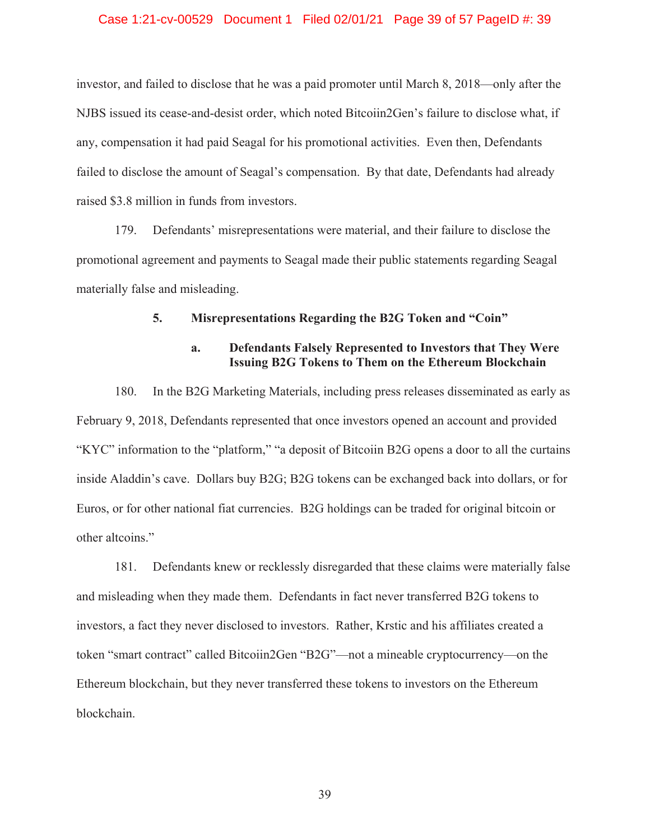### Case 1:21-cv-00529 Document 1 Filed 02/01/21 Page 39 of 57 PageID #: 39

investor, and failed to disclose that he was a paid promoter until March 8, 2018—only after the NJBS issued its cease-and-desist order, which noted Bitcoiin2Gen's failure to disclose what, if any, compensation it had paid Seagal for his promotional activities. Even then, Defendants failed to disclose the amount of Seagal's compensation. By that date, Defendants had already raised \$3.8 million in funds from investors.

179. Defendants' misrepresentations were material, and their failure to disclose the promotional agreement and payments to Seagal made their public statements regarding Seagal materially false and misleading.

### **5. Misrepresentations Regarding the B2G Token and "Coin"**

## **a. Defendants Falsely Represented to Investors that They Were Issuing B2G Tokens to Them on the Ethereum Blockchain**

180. In the B2G Marketing Materials, including press releases disseminated as early as February 9, 2018, Defendants represented that once investors opened an account and provided "KYC" information to the "platform," "a deposit of Bitcoiin B2G opens a door to all the curtains inside Aladdin's cave. Dollars buy B2G; B2G tokens can be exchanged back into dollars, or for Euros, or for other national fiat currencies. B2G holdings can be traded for original bitcoin or other altcoins."

181. Defendants knew or recklessly disregarded that these claims were materially false and misleading when they made them. Defendants in fact never transferred B2G tokens to investors, a fact they never disclosed to investors. Rather, Krstic and his affiliates created a token "smart contract" called Bitcoiin2Gen "B2G"—not a mineable cryptocurrency—on the Ethereum blockchain, but they never transferred these tokens to investors on the Ethereum blockchain.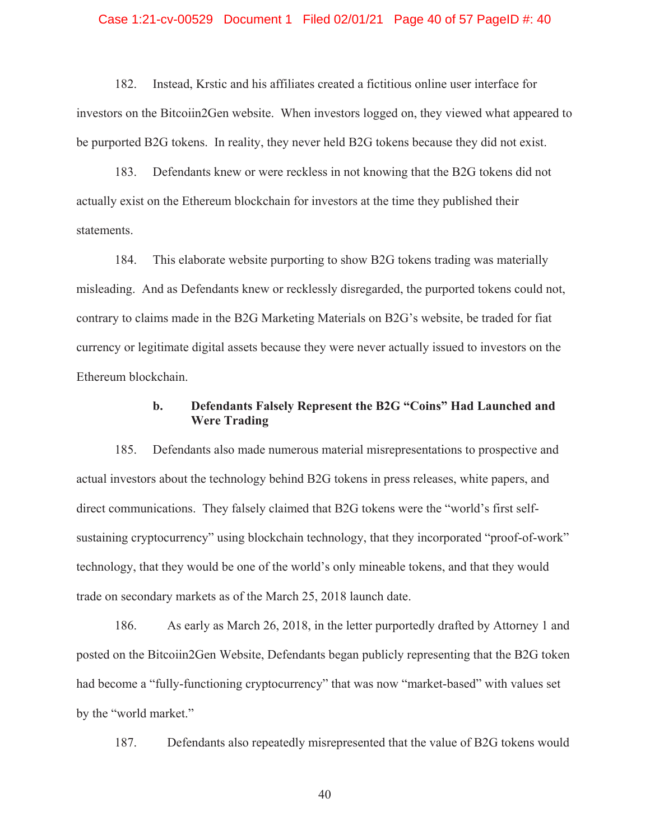#### Case 1:21-cv-00529 Document 1 Filed 02/01/21 Page 40 of 57 PageID #: 40

182. Instead, Krstic and his affiliates created a fictitious online user interface for investors on the Bitcoiin2Gen website. When investors logged on, they viewed what appeared to be purported B2G tokens. In reality, they never held B2G tokens because they did not exist.

183. Defendants knew or were reckless in not knowing that the B2G tokens did not actually exist on the Ethereum blockchain for investors at the time they published their statements.

184. This elaborate website purporting to show B2G tokens trading was materially misleading. And as Defendants knew or recklessly disregarded, the purported tokens could not, contrary to claims made in the B2G Marketing Materials on B2G's website, be traded for fiat currency or legitimate digital assets because they were never actually issued to investors on the Ethereum blockchain.

### **b. Defendants Falsely Represent the B2G "Coins" Had Launched and Were Trading**

185. Defendants also made numerous material misrepresentations to prospective and actual investors about the technology behind B2G tokens in press releases, white papers, and direct communications. They falsely claimed that B2G tokens were the "world's first selfsustaining cryptocurrency" using blockchain technology, that they incorporated "proof-of-work" technology, that they would be one of the world's only mineable tokens, and that they would trade on secondary markets as of the March 25, 2018 launch date.

186. As early as March 26, 2018, in the letter purportedly drafted by Attorney 1 and posted on the Bitcoiin2Gen Website, Defendants began publicly representing that the B2G token had become a "fully-functioning cryptocurrency" that was now "market-based" with values set by the "world market."

187. Defendants also repeatedly misrepresented that the value of B2G tokens would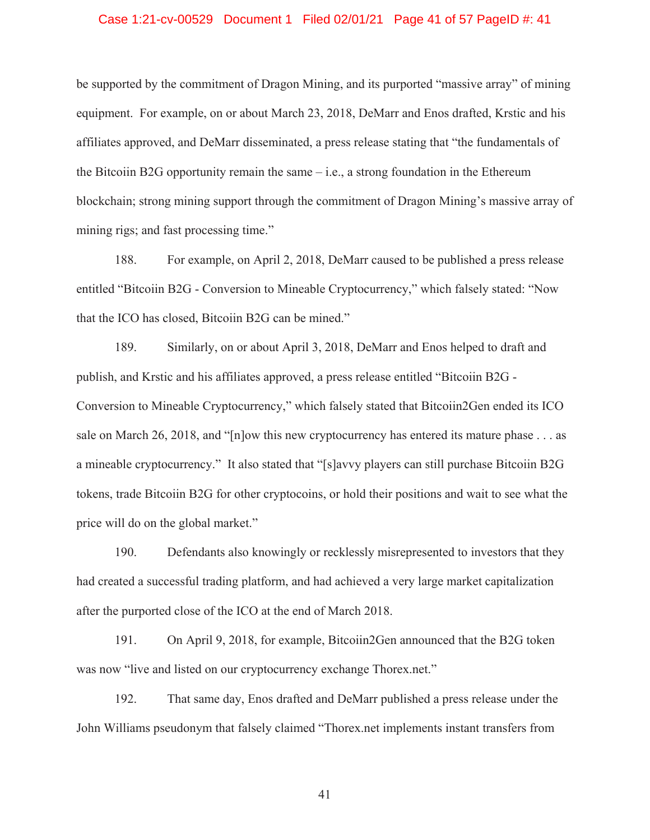### Case 1:21-cv-00529 Document 1 Filed 02/01/21 Page 41 of 57 PageID #: 41

be supported by the commitment of Dragon Mining, and its purported "massive array" of mining equipment. For example, on or about March 23, 2018, DeMarr and Enos drafted, Krstic and his affiliates approved, and DeMarr disseminated, a press release stating that "the fundamentals of the Bitcoiin B2G opportunity remain the same  $-$  i.e., a strong foundation in the Ethereum blockchain; strong mining support through the commitment of Dragon Mining's massive array of mining rigs; and fast processing time."

188. For example, on April 2, 2018, DeMarr caused to be published a press release entitled "Bitcoiin B2G - Conversion to Mineable Cryptocurrency," which falsely stated: "Now that the ICO has closed, Bitcoiin B2G can be mined."

189. Similarly, on or about April 3, 2018, DeMarr and Enos helped to draft and publish, and Krstic and his affiliates approved, a press release entitled "Bitcoiin B2G - Conversion to Mineable Cryptocurrency," which falsely stated that Bitcoiin2Gen ended its ICO sale on March 26, 2018, and "[n]ow this new cryptocurrency has entered its mature phase . . . as a mineable cryptocurrency." It also stated that "[s]avvy players can still purchase Bitcoiin B2G tokens, trade Bitcoiin B2G for other cryptocoins, or hold their positions and wait to see what the price will do on the global market."

190. Defendants also knowingly or recklessly misrepresented to investors that they had created a successful trading platform, and had achieved a very large market capitalization after the purported close of the ICO at the end of March 2018.

191. On April 9, 2018, for example, Bitcoiin2Gen announced that the B2G token was now "live and listed on our cryptocurrency exchange Thorex.net."

192. That same day, Enos drafted and DeMarr published a press release under the John Williams pseudonym that falsely claimed "Thorex.net implements instant transfers from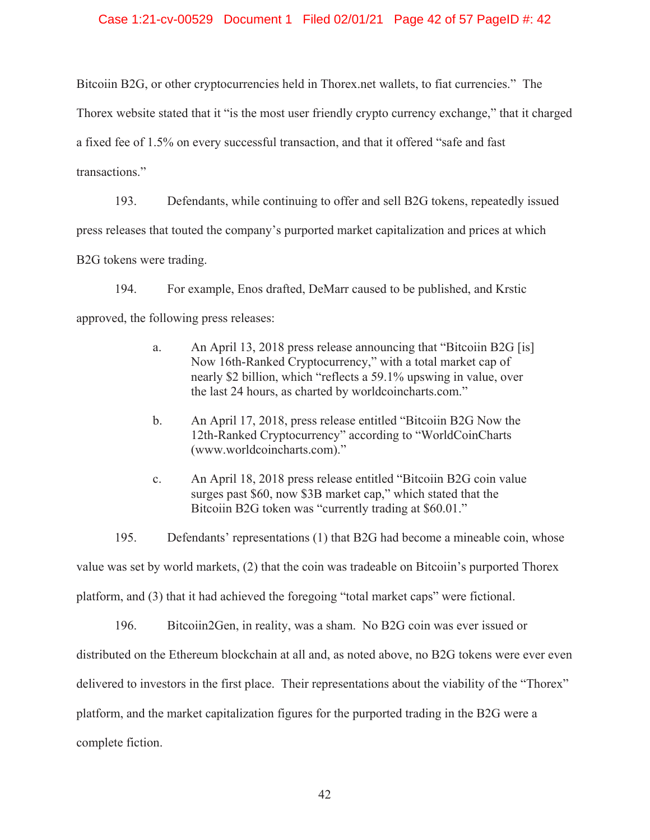### Case 1:21-cv-00529 Document 1 Filed 02/01/21 Page 42 of 57 PageID #: 42

Bitcoiin B2G, or other cryptocurrencies held in Thorex.net wallets, to fiat currencies." The

Thorex website stated that it "is the most user friendly crypto currency exchange," that it charged

a fixed fee of 1.5% on every successful transaction, and that it offered "safe and fast

transactions."

193. Defendants, while continuing to offer and sell B2G tokens, repeatedly issued

press releases that touted the company's purported market capitalization and prices at which

B2G tokens were trading.

194. For example, Enos drafted, DeMarr caused to be published, and Krstic approved, the following press releases:

- a. An April 13, 2018 press release announcing that "Bitcoiin B2G [is] Now 16th-Ranked Cryptocurrency," with a total market cap of nearly \$2 billion, which "reflects a 59.1% upswing in value, over the last 24 hours, as charted by worldcoincharts.com."
- b. An April 17, 2018, press release entitled "Bitcoiin B2G Now the 12th-Ranked Cryptocurrency" according to "WorldCoinCharts (www.worldcoincharts.com)."
- c. An April 18, 2018 press release entitled "Bitcoiin B2G coin value surges past \$60, now \$3B market cap," which stated that the Bitcoiin B2G token was "currently trading at \$60.01."

195. Defendants' representations (1) that B2G had become a mineable coin, whose value was set by world markets, (2) that the coin was tradeable on Bitcoiin's purported Thorex platform, and (3) that it had achieved the foregoing "total market caps" were fictional.

196. Bitcoiin2Gen, in reality, was a sham. No B2G coin was ever issued or distributed on the Ethereum blockchain at all and, as noted above, no B2G tokens were ever even delivered to investors in the first place. Their representations about the viability of the "Thorex" platform, and the market capitalization figures for the purported trading in the B2G were a complete fiction.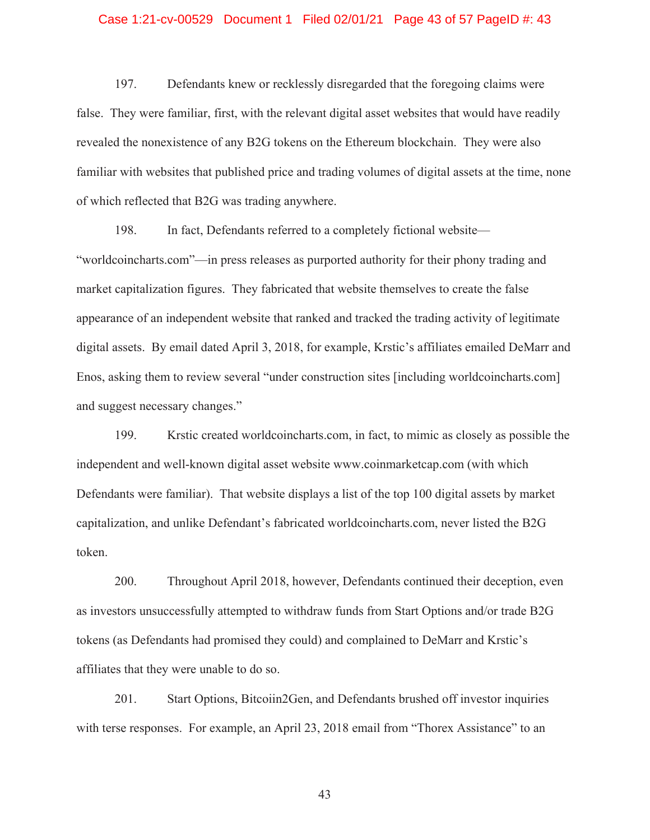### Case 1:21-cv-00529 Document 1 Filed 02/01/21 Page 43 of 57 PageID #: 43

197. Defendants knew or recklessly disregarded that the foregoing claims were false. They were familiar, first, with the relevant digital asset websites that would have readily revealed the nonexistence of any B2G tokens on the Ethereum blockchain. They were also familiar with websites that published price and trading volumes of digital assets at the time, none of which reflected that B2G was trading anywhere.

198. In fact, Defendants referred to a completely fictional website— "worldcoincharts.com"—in press releases as purported authority for their phony trading and market capitalization figures. They fabricated that website themselves to create the false appearance of an independent website that ranked and tracked the trading activity of legitimate digital assets. By email dated April 3, 2018, for example, Krstic's affiliates emailed DeMarr and Enos, asking them to review several "under construction sites [including worldcoincharts.com] and suggest necessary changes."

199. Krstic created worldcoincharts.com, in fact, to mimic as closely as possible the independent and well-known digital asset website www.coinmarketcap.com (with which Defendants were familiar). That website displays a list of the top 100 digital assets by market capitalization, and unlike Defendant's fabricated worldcoincharts.com, never listed the B2G token.

200. Throughout April 2018, however, Defendants continued their deception, even as investors unsuccessfully attempted to withdraw funds from Start Options and/or trade B2G tokens (as Defendants had promised they could) and complained to DeMarr and Krstic's affiliates that they were unable to do so.

201. Start Options, Bitcoiin2Gen, and Defendants brushed off investor inquiries with terse responses. For example, an April 23, 2018 email from "Thorex Assistance" to an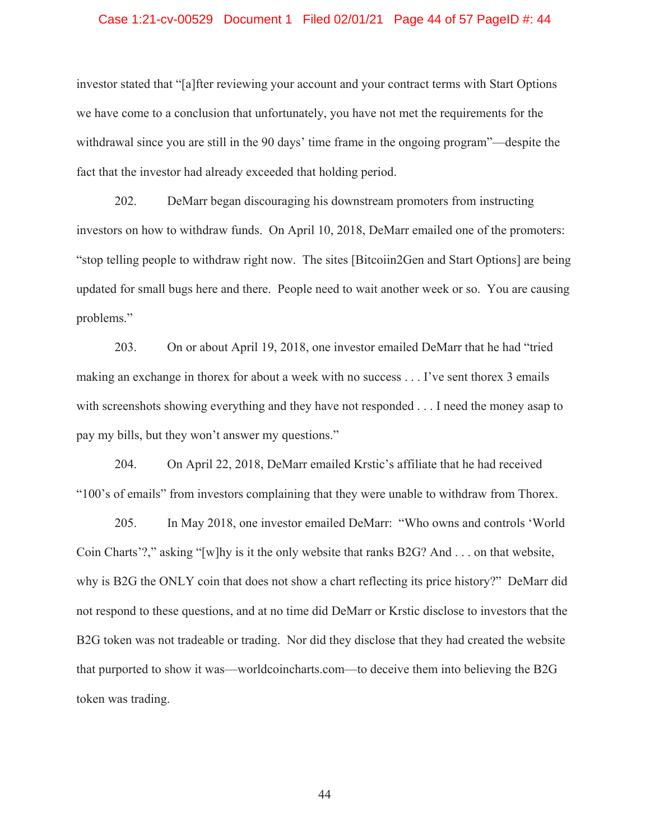#### Case 1:21-cv-00529 Document 1 Filed 02/01/21 Page 44 of 57 PageID #: 44

investor stated that "[a]fter reviewing your account and your contract terms with Start Options we have come to a conclusion that unfortunately, you have not met the requirements for the withdrawal since you are still in the 90 days' time frame in the ongoing program"—despite the fact that the investor had already exceeded that holding period.

202. DeMarr began discouraging his downstream promoters from instructing investors on how to withdraw funds. On April 10, 2018, DeMarr emailed one of the promoters: "stop telling people to withdraw right now. The sites [Bitcoiin2Gen and Start Options] are being updated for small bugs here and there. People need to wait another week or so. You are causing problems."

203. On or about April 19, 2018, one investor emailed DeMarr that he had "tried making an exchange in thorex for about a week with no success . . . I've sent thorex 3 emails with screenshots showing everything and they have not responded . . . I need the money asap to pay my bills, but they won't answer my questions."

204. On April 22, 2018, DeMarr emailed Krstic's affiliate that he had received "100's of emails" from investors complaining that they were unable to withdraw from Thorex.

205. In May 2018, one investor emailed DeMarr: "Who owns and controls 'World Coin Charts'?," asking "[w]hy is it the only website that ranks B2G? And . . . on that website, why is B2G the ONLY coin that does not show a chart reflecting its price history?" DeMarr did not respond to these questions, and at no time did DeMarr or Krstic disclose to investors that the B2G token was not tradeable or trading. Nor did they disclose that they had created the website that purported to show it was—worldcoincharts.com—to deceive them into believing the B2G token was trading.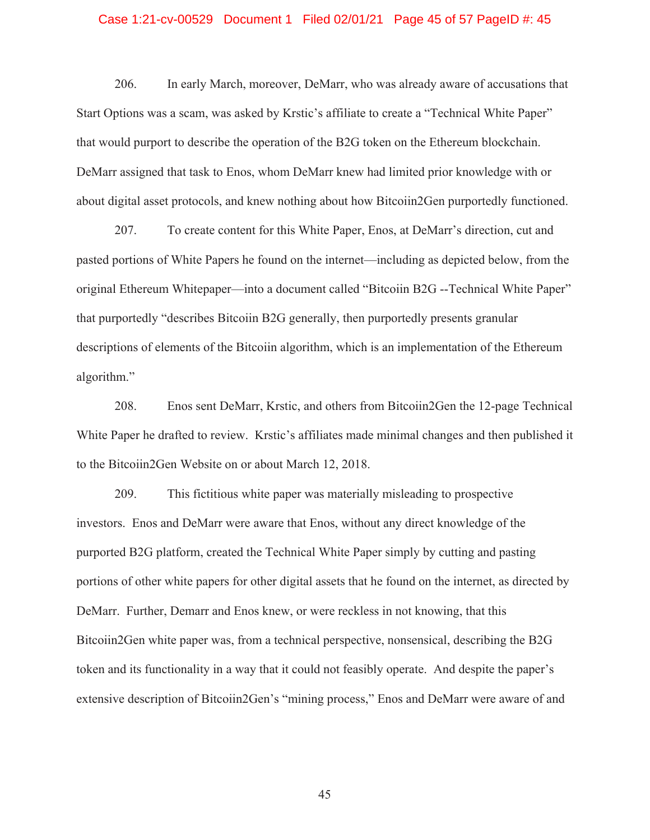### Case 1:21-cv-00529 Document 1 Filed 02/01/21 Page 45 of 57 PageID #: 45

206. In early March, moreover, DeMarr, who was already aware of accusations that Start Options was a scam, was asked by Krstic's affiliate to create a "Technical White Paper" that would purport to describe the operation of the B2G token on the Ethereum blockchain. DeMarr assigned that task to Enos, whom DeMarr knew had limited prior knowledge with or about digital asset protocols, and knew nothing about how Bitcoiin2Gen purportedly functioned.

207. To create content for this White Paper, Enos, at DeMarr's direction, cut and pasted portions of White Papers he found on the internet—including as depicted below, from the original Ethereum Whitepaper—into a document called "Bitcoiin B2G --Technical White Paper" that purportedly "describes Bitcoiin B2G generally, then purportedly presents granular descriptions of elements of the Bitcoiin algorithm, which is an implementation of the Ethereum algorithm."

208. Enos sent DeMarr, Krstic, and others from Bitcoiin2Gen the 12-page Technical White Paper he drafted to review. Krstic's affiliates made minimal changes and then published it to the Bitcoiin2Gen Website on or about March 12, 2018.

209. This fictitious white paper was materially misleading to prospective investors. Enos and DeMarr were aware that Enos, without any direct knowledge of the purported B2G platform, created the Technical White Paper simply by cutting and pasting portions of other white papers for other digital assets that he found on the internet, as directed by DeMarr. Further, Demarr and Enos knew, or were reckless in not knowing, that this Bitcoiin2Gen white paper was, from a technical perspective, nonsensical, describing the B2G token and its functionality in a way that it could not feasibly operate. And despite the paper's extensive description of Bitcoiin2Gen's "mining process," Enos and DeMarr were aware of and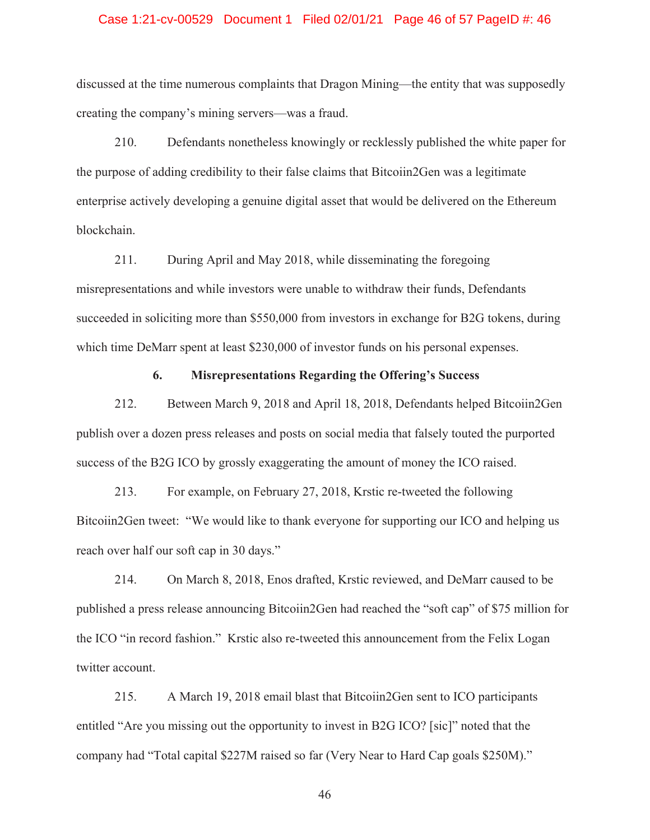### Case 1:21-cv-00529 Document 1 Filed 02/01/21 Page 46 of 57 PageID #: 46

discussed at the time numerous complaints that Dragon Mining—the entity that was supposedly creating the company's mining servers—was a fraud.

210. Defendants nonetheless knowingly or recklessly published the white paper for the purpose of adding credibility to their false claims that Bitcoiin2Gen was a legitimate enterprise actively developing a genuine digital asset that would be delivered on the Ethereum blockchain.

211. During April and May 2018, while disseminating the foregoing misrepresentations and while investors were unable to withdraw their funds, Defendants succeeded in soliciting more than \$550,000 from investors in exchange for B2G tokens, during which time DeMarr spent at least \$230,000 of investor funds on his personal expenses.

### **6. Misrepresentations Regarding the Offering's Success**

212. Between March 9, 2018 and April 18, 2018, Defendants helped Bitcoiin2Gen publish over a dozen press releases and posts on social media that falsely touted the purported success of the B2G ICO by grossly exaggerating the amount of money the ICO raised.

213. For example, on February 27, 2018, Krstic re-tweeted the following Bitcoiin2Gen tweet: "We would like to thank everyone for supporting our ICO and helping us reach over half our soft cap in 30 days."

214. On March 8, 2018, Enos drafted, Krstic reviewed, and DeMarr caused to be published a press release announcing Bitcoiin2Gen had reached the "soft cap" of \$75 million for the ICO "in record fashion." Krstic also re-tweeted this announcement from the Felix Logan twitter account.

215. A March 19, 2018 email blast that Bitcoiin2Gen sent to ICO participants entitled "Are you missing out the opportunity to invest in B2G ICO? [sic]" noted that the company had "Total capital \$227M raised so far (Very Near to Hard Cap goals \$250M)."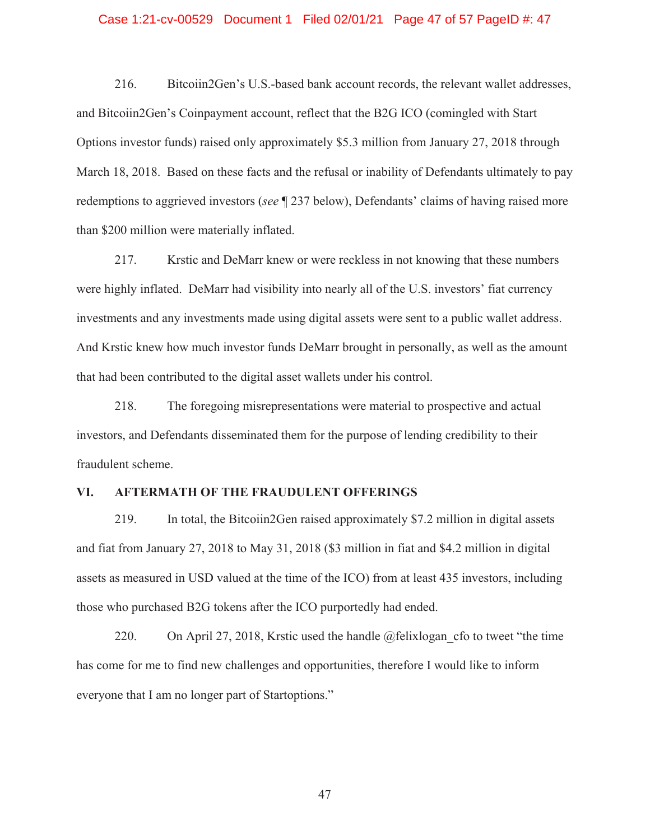#### Case 1:21-cv-00529 Document 1 Filed 02/01/21 Page 47 of 57 PageID #: 47

216. Bitcoiin2Gen's U.S.-based bank account records, the relevant wallet addresses, and Bitcoiin2Gen's Coinpayment account, reflect that the B2G ICO (comingled with Start Options investor funds) raised only approximately \$5.3 million from January 27, 2018 through March 18, 2018. Based on these facts and the refusal or inability of Defendants ultimately to pay redemptions to aggrieved investors (*see* ¶ 237 below), Defendants' claims of having raised more than \$200 million were materially inflated.

217. Krstic and DeMarr knew or were reckless in not knowing that these numbers were highly inflated. DeMarr had visibility into nearly all of the U.S. investors' fiat currency investments and any investments made using digital assets were sent to a public wallet address. And Krstic knew how much investor funds DeMarr brought in personally, as well as the amount that had been contributed to the digital asset wallets under his control.

218. The foregoing misrepresentations were material to prospective and actual investors, and Defendants disseminated them for the purpose of lending credibility to their fraudulent scheme.

## **VI. AFTERMATH OF THE FRAUDULENT OFFERINGS**

219. In total, the Bitcoiin2Gen raised approximately \$7.2 million in digital assets and fiat from January 27, 2018 to May 31, 2018 (\$3 million in fiat and \$4.2 million in digital assets as measured in USD valued at the time of the ICO) from at least 435 investors, including those who purchased B2G tokens after the ICO purportedly had ended.

220. On April 27, 2018, Krstic used the handle  $@$ felixlogan cfo to tweet "the time has come for me to find new challenges and opportunities, therefore I would like to inform everyone that I am no longer part of Startoptions."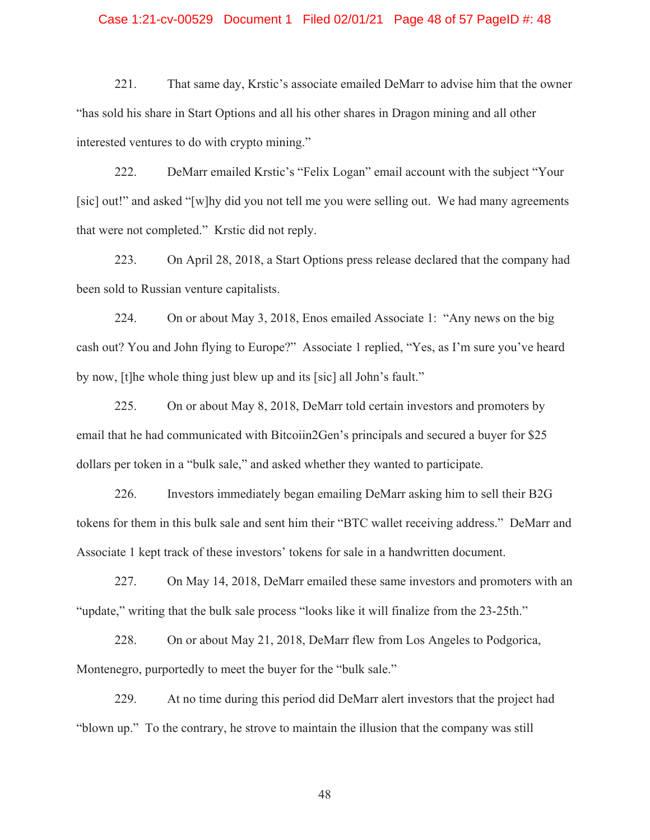### Case 1:21-cv-00529 Document 1 Filed 02/01/21 Page 48 of 57 PageID #: 48

221. That same day, Krstic's associate emailed DeMarr to advise him that the owner "has sold his share in Start Options and all his other shares in Dragon mining and all other interested ventures to do with crypto mining."

222. DeMarr emailed Krstic's "Felix Logan" email account with the subject "Your [sic] out!" and asked "[w]hy did you not tell me you were selling out. We had many agreements that were not completed." Krstic did not reply.

223. On April 28, 2018, a Start Options press release declared that the company had been sold to Russian venture capitalists.

224. On or about May 3, 2018, Enos emailed Associate 1: "Any news on the big cash out? You and John flying to Europe?" Associate 1 replied, "Yes, as I'm sure you've heard by now, [t]he whole thing just blew up and its [sic] all John's fault."

225. On or about May 8, 2018, DeMarr told certain investors and promoters by email that he had communicated with Bitcoiin2Gen's principals and secured a buyer for \$25 dollars per token in a "bulk sale," and asked whether they wanted to participate.

226. Investors immediately began emailing DeMarr asking him to sell their B2G tokens for them in this bulk sale and sent him their "BTC wallet receiving address." DeMarr and Associate 1 kept track of these investors' tokens for sale in a handwritten document.

227. On May 14, 2018, DeMarr emailed these same investors and promoters with an "update," writing that the bulk sale process "looks like it will finalize from the 23-25th."

228. On or about May 21, 2018, DeMarr flew from Los Angeles to Podgorica, Montenegro, purportedly to meet the buyer for the "bulk sale."

229. At no time during this period did DeMarr alert investors that the project had "blown up." To the contrary, he strove to maintain the illusion that the company was still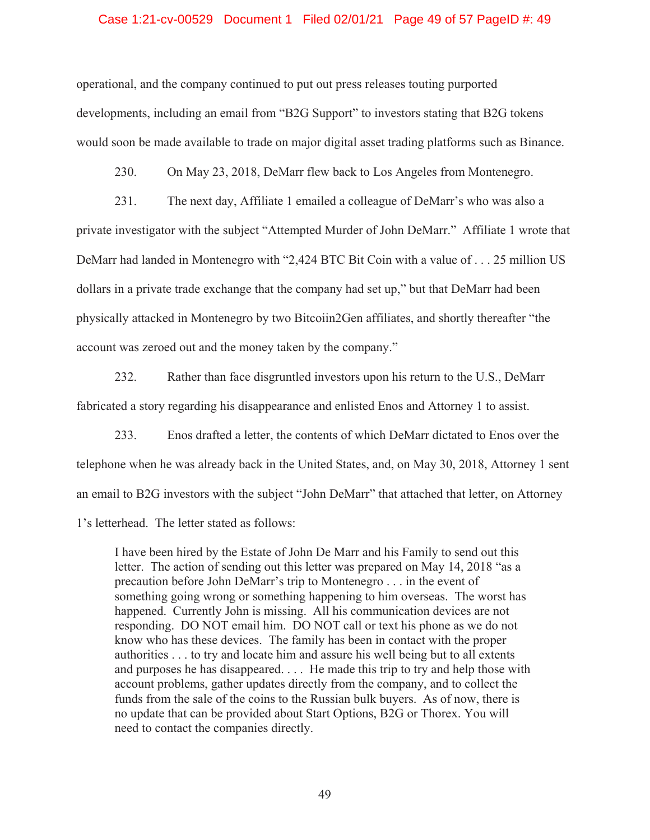### Case 1:21-cv-00529 Document 1 Filed 02/01/21 Page 49 of 57 PageID #: 49

operational, and the company continued to put out press releases touting purported developments, including an email from "B2G Support" to investors stating that B2G tokens would soon be made available to trade on major digital asset trading platforms such as Binance.

230. On May 23, 2018, DeMarr flew back to Los Angeles from Montenegro.

231. The next day, Affiliate 1 emailed a colleague of DeMarr's who was also a private investigator with the subject "Attempted Murder of John DeMarr." Affiliate 1 wrote that DeMarr had landed in Montenegro with "2,424 BTC Bit Coin with a value of . . . 25 million US dollars in a private trade exchange that the company had set up," but that DeMarr had been physically attacked in Montenegro by two Bitcoiin2Gen affiliates, and shortly thereafter "the account was zeroed out and the money taken by the company."

232. Rather than face disgruntled investors upon his return to the U.S., DeMarr fabricated a story regarding his disappearance and enlisted Enos and Attorney 1 to assist.

233. Enos drafted a letter, the contents of which DeMarr dictated to Enos over the telephone when he was already back in the United States, and, on May 30, 2018, Attorney 1 sent an email to B2G investors with the subject "John DeMarr" that attached that letter, on Attorney 1's letterhead. The letter stated as follows:

I have been hired by the Estate of John De Marr and his Family to send out this letter. The action of sending out this letter was prepared on May 14, 2018 "as a precaution before John DeMarr's trip to Montenegro . . . in the event of something going wrong or something happening to him overseas. The worst has happened. Currently John is missing. All his communication devices are not responding. DO NOT email him. DO NOT call or text his phone as we do not know who has these devices. The family has been in contact with the proper authorities . . . to try and locate him and assure his well being but to all extents and purposes he has disappeared. . . . He made this trip to try and help those with account problems, gather updates directly from the company, and to collect the funds from the sale of the coins to the Russian bulk buyers. As of now, there is no update that can be provided about Start Options, B2G or Thorex. You will need to contact the companies directly.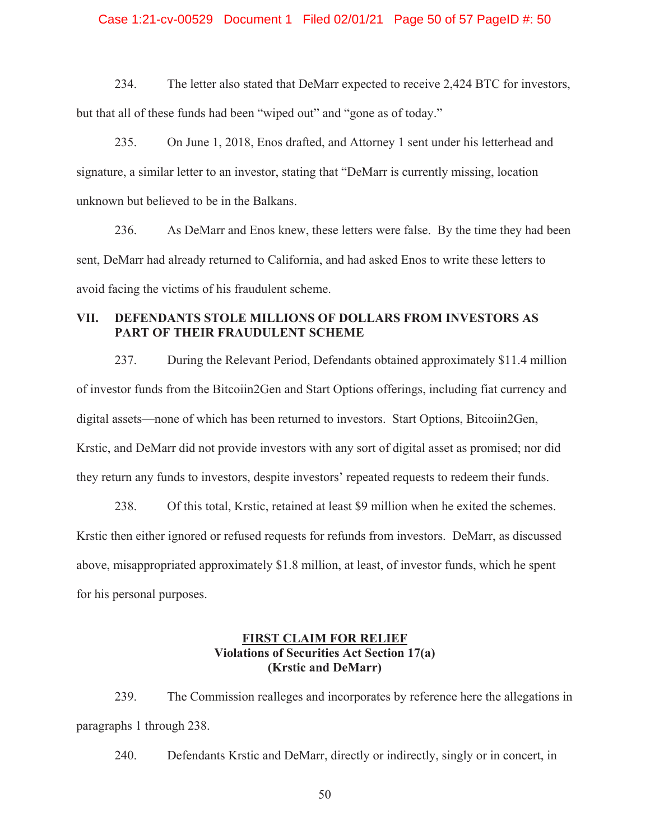### Case 1:21-cv-00529 Document 1 Filed 02/01/21 Page 50 of 57 PageID #: 50

234. The letter also stated that DeMarr expected to receive 2,424 BTC for investors, but that all of these funds had been "wiped out" and "gone as of today."

235. On June 1, 2018, Enos drafted, and Attorney 1 sent under his letterhead and signature, a similar letter to an investor, stating that "DeMarr is currently missing, location unknown but believed to be in the Balkans.

236. As DeMarr and Enos knew, these letters were false. By the time they had been sent, DeMarr had already returned to California, and had asked Enos to write these letters to avoid facing the victims of his fraudulent scheme.

# **VII. DEFENDANTS STOLE MILLIONS OF DOLLARS FROM INVESTORS AS PART OF THEIR FRAUDULENT SCHEME**

237. During the Relevant Period, Defendants obtained approximately \$11.4 million of investor funds from the Bitcoiin2Gen and Start Options offerings, including fiat currency and digital assets—none of which has been returned to investors. Start Options, Bitcoiin2Gen, Krstic, and DeMarr did not provide investors with any sort of digital asset as promised; nor did they return any funds to investors, despite investors' repeated requests to redeem their funds.

238. Of this total, Krstic, retained at least \$9 million when he exited the schemes. Krstic then either ignored or refused requests for refunds from investors. DeMarr, as discussed above, misappropriated approximately \$1.8 million, at least, of investor funds, which he spent for his personal purposes.

## **FIRST CLAIM FOR RELIEF Violations of Securities Act Section 17(a) (Krstic and DeMarr)**

239. The Commission realleges and incorporates by reference here the allegations in paragraphs 1 through 238.

240. Defendants Krstic and DeMarr, directly or indirectly, singly or in concert, in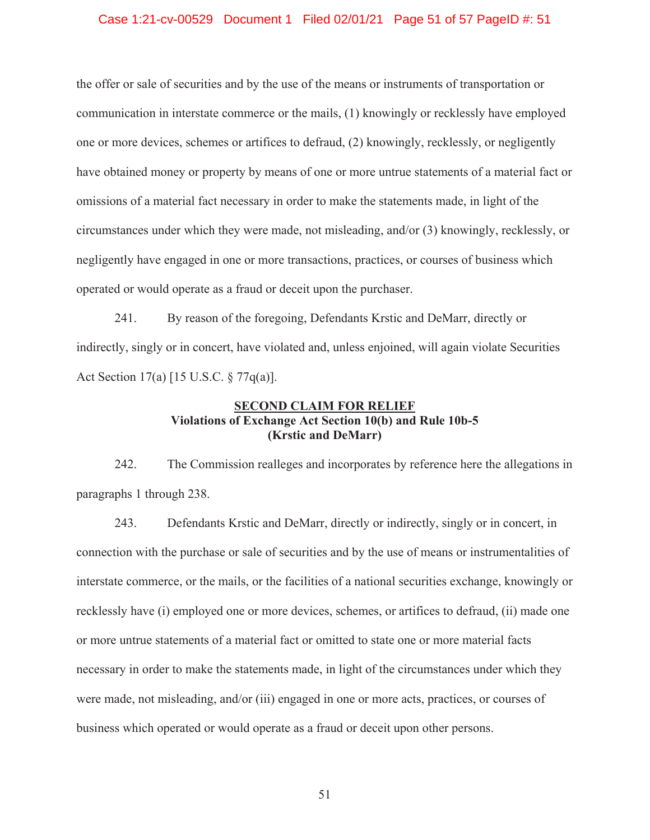### Case 1:21-cv-00529 Document 1 Filed 02/01/21 Page 51 of 57 PageID #: 51

the offer or sale of securities and by the use of the means or instruments of transportation or communication in interstate commerce or the mails, (1) knowingly or recklessly have employed one or more devices, schemes or artifices to defraud, (2) knowingly, recklessly, or negligently have obtained money or property by means of one or more untrue statements of a material fact or omissions of a material fact necessary in order to make the statements made, in light of the circumstances under which they were made, not misleading, and/or (3) knowingly, recklessly, or negligently have engaged in one or more transactions, practices, or courses of business which operated or would operate as a fraud or deceit upon the purchaser.

241. By reason of the foregoing, Defendants Krstic and DeMarr, directly or indirectly, singly or in concert, have violated and, unless enjoined, will again violate Securities Act Section 17(a) [15 U.S.C. § 77q(a)].

# **SECOND CLAIM FOR RELIEF Violations of Exchange Act Section 10(b) and Rule 10b-5 (Krstic and DeMarr)**

242. The Commission realleges and incorporates by reference here the allegations in paragraphs 1 through 238.

243. Defendants Krstic and DeMarr, directly or indirectly, singly or in concert, in connection with the purchase or sale of securities and by the use of means or instrumentalities of interstate commerce, or the mails, or the facilities of a national securities exchange, knowingly or recklessly have (i) employed one or more devices, schemes, or artifices to defraud, (ii) made one or more untrue statements of a material fact or omitted to state one or more material facts necessary in order to make the statements made, in light of the circumstances under which they were made, not misleading, and/or (iii) engaged in one or more acts, practices, or courses of business which operated or would operate as a fraud or deceit upon other persons.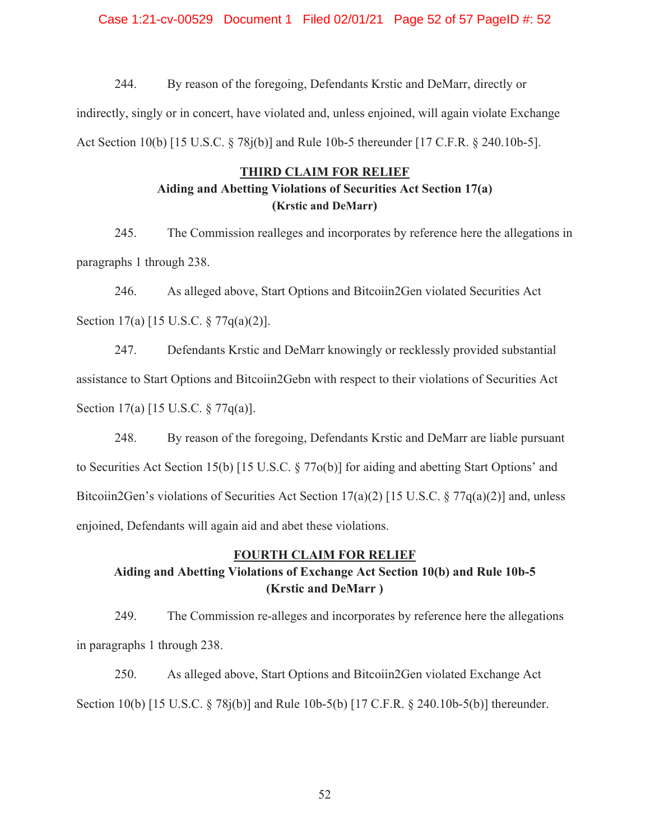### Case 1:21-cv-00529 Document 1 Filed 02/01/21 Page 52 of 57 PageID #: 52

244. By reason of the foregoing, Defendants Krstic and DeMarr, directly or indirectly, singly or in concert, have violated and, unless enjoined, will again violate Exchange Act Section 10(b) [15 U.S.C. § 78j(b)] and Rule 10b-5 thereunder [17 C.F.R. § 240.10b-5].

### **THIRD CLAIM FOR RELIEF**

# **Aiding and Abetting Violations of Securities Act Section 17(a) (Krstic and DeMarr)**

245. The Commission realleges and incorporates by reference here the allegations in paragraphs 1 through 238.

246. As alleged above, Start Options and Bitcoiin2Gen violated Securities Act Section 17(a) [15 U.S.C. § 77q(a)(2)].

247. Defendants Krstic and DeMarr knowingly or recklessly provided substantial assistance to Start Options and Bitcoiin2Gebn with respect to their violations of Securities Act Section 17(a) [15 U.S.C. § 77q(a)].

248. By reason of the foregoing, Defendants Krstic and DeMarr are liable pursuant to Securities Act Section 15(b) [15 U.S.C. § 77o(b)] for aiding and abetting Start Options' and Bitcoiin2Gen's violations of Securities Act Section 17(a)(2) [15 U.S.C. § 77q(a)(2)] and, unless enjoined, Defendants will again aid and abet these violations.

### **FOURTH CLAIM FOR RELIEF**

# **Aiding and Abetting Violations of Exchange Act Section 10(b) and Rule 10b-5 (Krstic and DeMarr )**

249. The Commission re-alleges and incorporates by reference here the allegations in paragraphs 1 through 238.

250. As alleged above, Start Options and Bitcoiin2Gen violated Exchange Act Section 10(b) [15 U.S.C. § 78j(b)] and Rule 10b-5(b) [17 C.F.R. § 240.10b-5(b)] thereunder.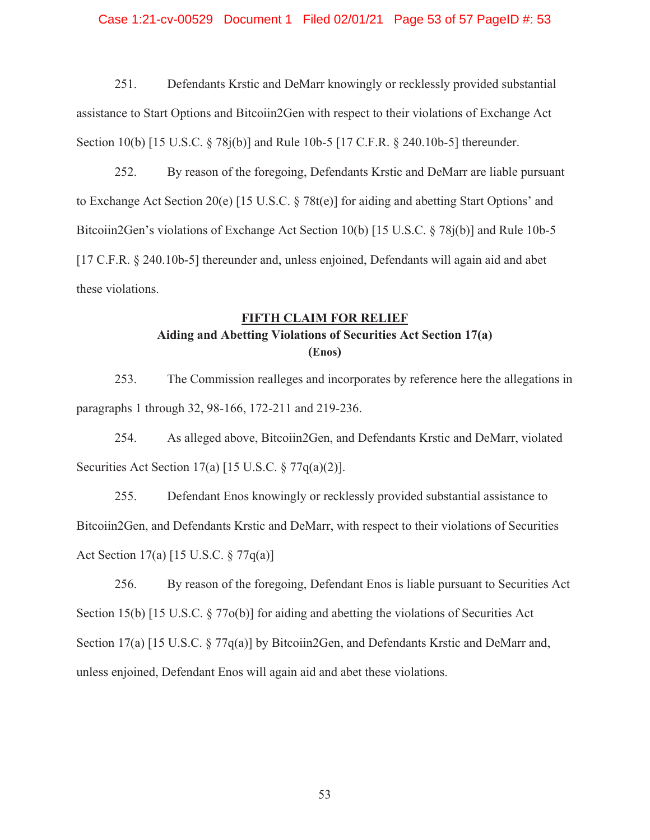### Case 1:21-cv-00529 Document 1 Filed 02/01/21 Page 53 of 57 PageID #: 53

251. Defendants Krstic and DeMarr knowingly or recklessly provided substantial assistance to Start Options and Bitcoiin2Gen with respect to their violations of Exchange Act Section 10(b) [15 U.S.C. § 78j(b)] and Rule 10b-5 [17 C.F.R. § 240.10b-5] thereunder.

252. By reason of the foregoing, Defendants Krstic and DeMarr are liable pursuant to Exchange Act Section 20(e) [15 U.S.C. § 78t(e)] for aiding and abetting Start Options' and Bitcoiin2Gen's violations of Exchange Act Section 10(b) [15 U.S.C. § 78j(b)] and Rule 10b-5 [17 C.F.R. § 240.10b-5] thereunder and, unless enjoined, Defendants will again aid and abet these violations.

# **FIFTH CLAIM FOR RELIEF Aiding and Abetting Violations of Securities Act Section 17(a) (Enos)**

253. The Commission realleges and incorporates by reference here the allegations in paragraphs 1 through 32, 98-166, 172-211 and 219-236.

254. As alleged above, Bitcoiin2Gen, and Defendants Krstic and DeMarr, violated Securities Act Section  $17(a)$  [15 U.S.C.  $\S 77q(a)(2)$ ].

255. Defendant Enos knowingly or recklessly provided substantial assistance to Bitcoiin2Gen, and Defendants Krstic and DeMarr, with respect to their violations of Securities Act Section 17(a) [15 U.S.C. § 77q(a)]

256. By reason of the foregoing, Defendant Enos is liable pursuant to Securities Act Section 15(b) [15 U.S.C. § 77o(b)] for aiding and abetting the violations of Securities Act Section 17(a) [15 U.S.C. § 77q(a)] by Bitcoiin2Gen, and Defendants Krstic and DeMarr and, unless enjoined, Defendant Enos will again aid and abet these violations.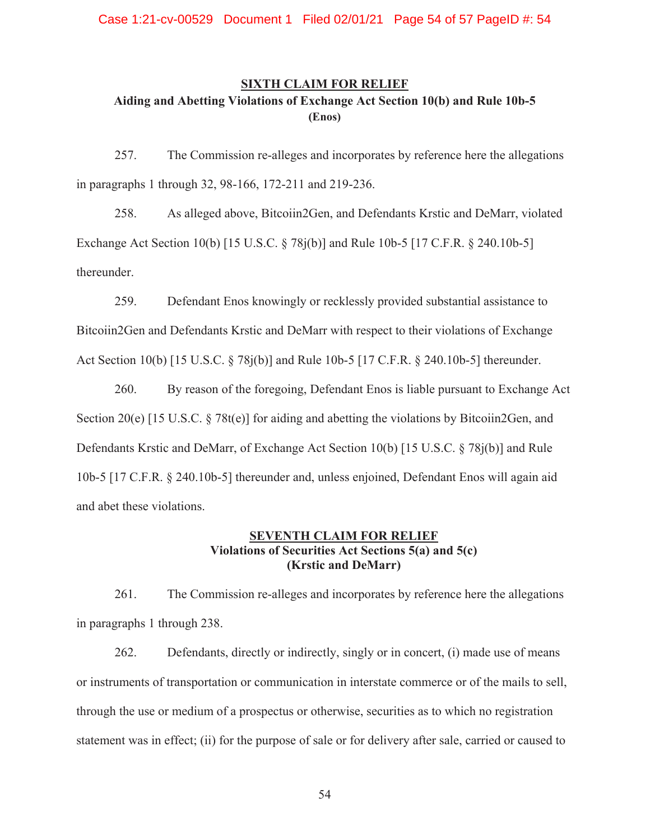# **SIXTH CLAIM FOR RELIEF Aiding and Abetting Violations of Exchange Act Section 10(b) and Rule 10b-5 (Enos)**

257. The Commission re-alleges and incorporates by reference here the allegations in paragraphs 1 through 32, 98-166, 172-211 and 219-236.

258. As alleged above, Bitcoiin2Gen, and Defendants Krstic and DeMarr, violated Exchange Act Section 10(b) [15 U.S.C. § 78j(b)] and Rule 10b-5 [17 C.F.R. § 240.10b-5] thereunder.

259. Defendant Enos knowingly or recklessly provided substantial assistance to Bitcoiin2Gen and Defendants Krstic and DeMarr with respect to their violations of Exchange Act Section 10(b) [15 U.S.C. § 78j(b)] and Rule 10b-5 [17 C.F.R. § 240.10b-5] thereunder.

260. By reason of the foregoing, Defendant Enos is liable pursuant to Exchange Act Section 20(e) [15 U.S.C. § 78t(e)] for aiding and abetting the violations by Bitcoiin2Gen, and Defendants Krstic and DeMarr, of Exchange Act Section 10(b) [15 U.S.C. § 78j(b)] and Rule 10b-5 [17 C.F.R. § 240.10b-5] thereunder and, unless enjoined, Defendant Enos will again aid and abet these violations.

# **SEVENTH CLAIM FOR RELIEF Violations of Securities Act Sections 5(a) and 5(c) (Krstic and DeMarr)**

261. The Commission re-alleges and incorporates by reference here the allegations in paragraphs 1 through 238.

262. Defendants, directly or indirectly, singly or in concert, (i) made use of means or instruments of transportation or communication in interstate commerce or of the mails to sell, through the use or medium of a prospectus or otherwise, securities as to which no registration statement was in effect; (ii) for the purpose of sale or for delivery after sale, carried or caused to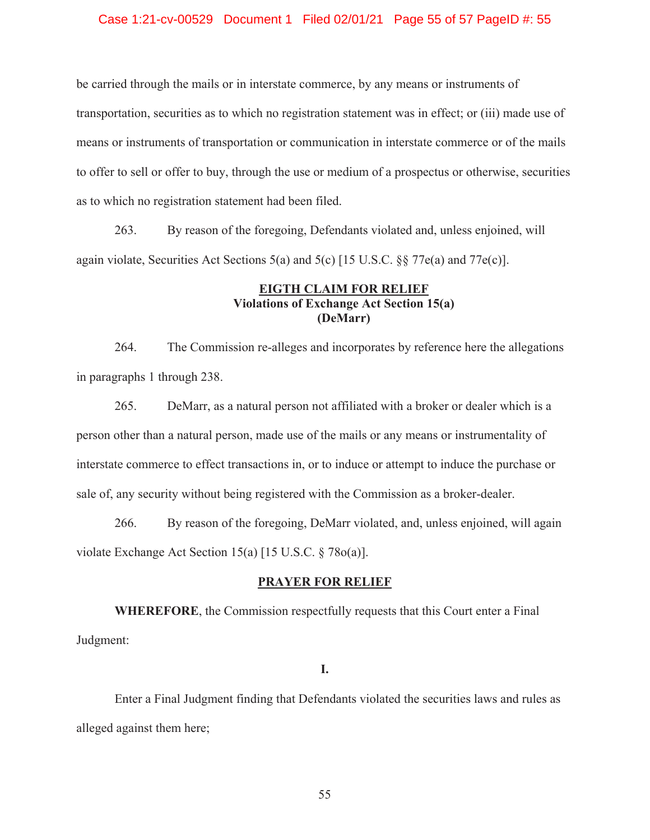### Case 1:21-cv-00529 Document 1 Filed 02/01/21 Page 55 of 57 PageID #: 55

be carried through the mails or in interstate commerce, by any means or instruments of transportation, securities as to which no registration statement was in effect; or (iii) made use of means or instruments of transportation or communication in interstate commerce or of the mails to offer to sell or offer to buy, through the use or medium of a prospectus or otherwise, securities as to which no registration statement had been filed.

263. By reason of the foregoing, Defendants violated and, unless enjoined, will again violate, Securities Act Sections  $5(a)$  and  $5(c)$  [15 U.S.C. §§ 77e(a) and 77e(c)].

## **EIGTH CLAIM FOR RELIEF Violations of Exchange Act Section 15(a) (DeMarr)**

264. The Commission re-alleges and incorporates by reference here the allegations in paragraphs 1 through 238.

265. DeMarr, as a natural person not affiliated with a broker or dealer which is a person other than a natural person, made use of the mails or any means or instrumentality of interstate commerce to effect transactions in, or to induce or attempt to induce the purchase or sale of, any security without being registered with the Commission as a broker-dealer.

266. By reason of the foregoing, DeMarr violated, and, unless enjoined, will again violate Exchange Act Section 15(a) [15 U.S.C. § 78o(a)].

### **PRAYER FOR RELIEF**

**WHEREFORE**, the Commission respectfully requests that this Court enter a Final Judgment:

### **I.**

 Enter a Final Judgment finding that Defendants violated the securities laws and rules as alleged against them here;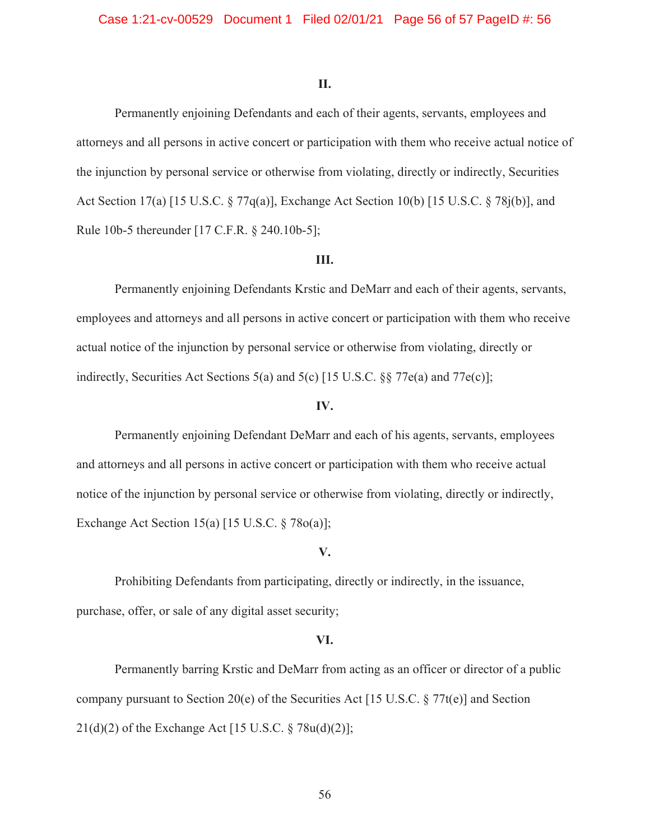### **II.**

Permanently enjoining Defendants and each of their agents, servants, employees and attorneys and all persons in active concert or participation with them who receive actual notice of the injunction by personal service or otherwise from violating, directly or indirectly, Securities Act Section 17(a) [15 U.S.C. § 77q(a)], Exchange Act Section 10(b) [15 U.S.C. § 78j(b)], and Rule 10b-5 thereunder [17 C.F.R. § 240.10b-5];

### **III.**

Permanently enjoining Defendants Krstic and DeMarr and each of their agents, servants, employees and attorneys and all persons in active concert or participation with them who receive actual notice of the injunction by personal service or otherwise from violating, directly or indirectly, Securities Act Sections 5(a) and 5(c) [15 U.S.C. §§ 77e(a) and 77e(c)];

### **IV.**

Permanently enjoining Defendant DeMarr and each of his agents, servants, employees and attorneys and all persons in active concert or participation with them who receive actual notice of the injunction by personal service or otherwise from violating, directly or indirectly, Exchange Act Section 15(a) [15 U.S.C. § 78o(a)];

### **V.**

 Prohibiting Defendants from participating, directly or indirectly, in the issuance, purchase, offer, or sale of any digital asset security;

### **VI.**

 Permanently barring Krstic and DeMarr from acting as an officer or director of a public company pursuant to Section 20(e) of the Securities Act [15 U.S.C. § 77t(e)] and Section  $21(d)(2)$  of the Exchange Act [15 U.S.C. § 78u(d)(2)];